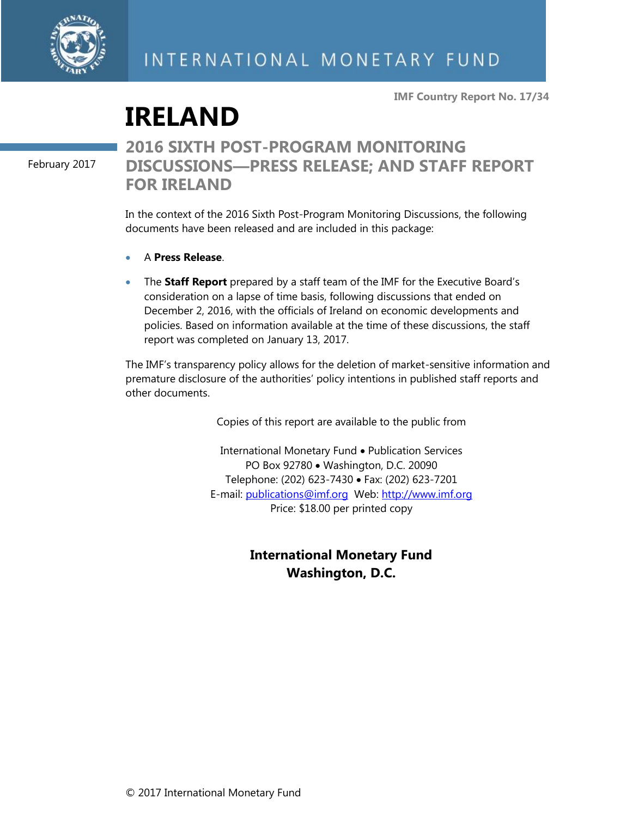

**IMF Country Report No. 17/34**

# **IRELAND**

February 2017

## **2016 SIXTH POST-PROGRAM MONITORING DISCUSSIONS—PRESS RELEASE; AND STAFF REPORT FOR IRELAND**

In the context of the 2016 Sixth Post-Program Monitoring Discussions, the following documents have been released and are included in this package:

- A **Press Release**.
- The **Staff Report** prepared by a staff team of the IMF for the Executive Board's consideration on a lapse of time basis, following discussions that ended on December 2, 2016, with the officials of Ireland on economic developments and policies. Based on information available at the time of these discussions, the staff report was completed on January 13, 2017.

The IMF's transparency policy allows for the deletion of market-sensitive information and premature disclosure of the authorities' policy intentions in published staff reports and other documents.

Copies of this report are available to the public from

International Monetary Fund • Publication Services PO Box 92780 • Washington, D.C. 20090 Telephone: (202) 623-7430 Fax: (202) 623-7201 E-mail: [publications@imf.org](mailto:publications@imf.org) Web: [http://www.imf.org](http://0-www-imf-org.library.svsu.edu/) Price: \$18.00 per printed copy

### **International Monetary Fund Washington, D.C.**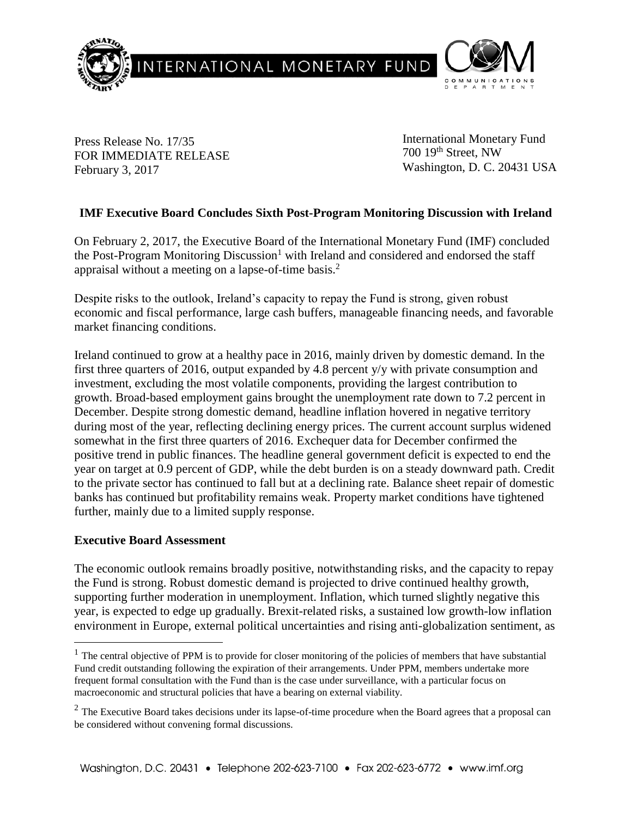

Press Release No. 17/35 FOR IMMEDIATE RELEASE February 3, 2017

International Monetary Fund 700 19th Street, NW Washington, D. C. 20431 USA

#### **IMF Executive Board Concludes Sixth Post-Program Monitoring Discussion with Ireland**

On February 2, 2017, the Executive Board of the International Monetary Fund (IMF) concluded the Post-Program Monitoring Discussion<sup>1</sup> with Ireland and considered and endorsed the staff appraisal without a meeting on a lapse-of-time basis.<sup>2</sup>

Despite risks to the outlook, Ireland's capacity to repay the Fund is strong, given robust economic and fiscal performance, large cash buffers, manageable financing needs, and favorable market financing conditions.

Ireland continued to grow at a healthy pace in 2016, mainly driven by domestic demand. In the first three quarters of 2016, output expanded by 4.8 percent y/y with private consumption and investment, excluding the most volatile components, providing the largest contribution to growth. Broad-based employment gains brought the unemployment rate down to 7.2 percent in December. Despite strong domestic demand, headline inflation hovered in negative territory during most of the year, reflecting declining energy prices. The current account surplus widened somewhat in the first three quarters of 2016. Exchequer data for December confirmed the positive trend in public finances. The headline general government deficit is expected to end the year on target at 0.9 percent of GDP, while the debt burden is on a steady downward path. Credit to the private sector has continued to fall but at a declining rate. Balance sheet repair of domestic banks has continued but profitability remains weak. Property market conditions have tightened further, mainly due to a limited supply response.

#### **Executive Board Assessment**

 $\overline{a}$ 

The economic outlook remains broadly positive, notwithstanding risks, and the capacity to repay the Fund is strong. Robust domestic demand is projected to drive continued healthy growth, supporting further moderation in unemployment. Inflation, which turned slightly negative this year, is expected to edge up gradually. Brexit-related risks, a sustained low growth-low inflation environment in Europe, external political uncertainties and rising anti-globalization sentiment, as

 $<sup>1</sup>$  The central objective of PPM is to provide for closer monitoring of the policies of members that have substantial</sup> Fund credit outstanding following the expiration of their arrangements. Under PPM, members undertake more frequent formal consultation with the Fund than is the case under surveillance, with a particular focus on macroeconomic and structural policies that have a bearing on external viability.

 $<sup>2</sup>$  The Executive Board takes decisions under its lapse-of-time procedure when the Board agrees that a proposal can</sup> be considered without convening formal discussions.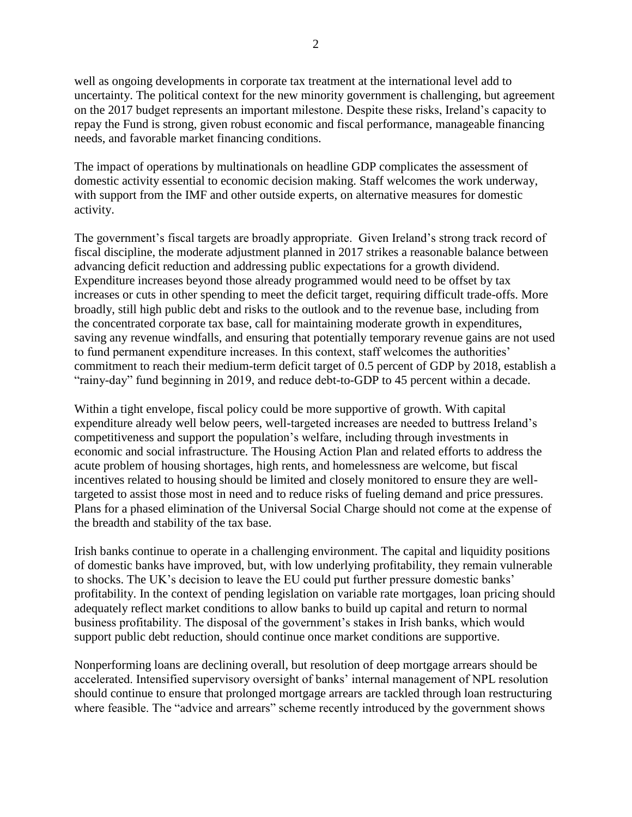well as ongoing developments in corporate tax treatment at the international level add to uncertainty. The political context for the new minority government is challenging, but agreement on the 2017 budget represents an important milestone. Despite these risks, Ireland's capacity to repay the Fund is strong, given robust economic and fiscal performance, manageable financing needs, and favorable market financing conditions.

The impact of operations by multinationals on headline GDP complicates the assessment of domestic activity essential to economic decision making. Staff welcomes the work underway, with support from the IMF and other outside experts, on alternative measures for domestic activity.

The government's fiscal targets are broadly appropriate. Given Ireland's strong track record of fiscal discipline, the moderate adjustment planned in 2017 strikes a reasonable balance between advancing deficit reduction and addressing public expectations for a growth dividend. Expenditure increases beyond those already programmed would need to be offset by tax increases or cuts in other spending to meet the deficit target, requiring difficult trade-offs. More broadly, still high public debt and risks to the outlook and to the revenue base, including from the concentrated corporate tax base, call for maintaining moderate growth in expenditures, saving any revenue windfalls, and ensuring that potentially temporary revenue gains are not used to fund permanent expenditure increases. In this context, staff welcomes the authorities' commitment to reach their medium-term deficit target of 0.5 percent of GDP by 2018, establish a "rainy-day" fund beginning in 2019, and reduce debt-to-GDP to 45 percent within a decade.

Within a tight envelope, fiscal policy could be more supportive of growth. With capital expenditure already well below peers, well-targeted increases are needed to buttress Ireland's competitiveness and support the population's welfare, including through investments in economic and social infrastructure. The Housing Action Plan and related efforts to address the acute problem of housing shortages, high rents, and homelessness are welcome, but fiscal incentives related to housing should be limited and closely monitored to ensure they are welltargeted to assist those most in need and to reduce risks of fueling demand and price pressures. Plans for a phased elimination of the Universal Social Charge should not come at the expense of the breadth and stability of the tax base.

Irish banks continue to operate in a challenging environment. The capital and liquidity positions of domestic banks have improved, but, with low underlying profitability, they remain vulnerable to shocks. The UK's decision to leave the EU could put further pressure domestic banks' profitability. In the context of pending legislation on variable rate mortgages, loan pricing should adequately reflect market conditions to allow banks to build up capital and return to normal business profitability. The disposal of the government's stakes in Irish banks, which would support public debt reduction, should continue once market conditions are supportive.

Nonperforming loans are declining overall, but resolution of deep mortgage arrears should be accelerated. Intensified supervisory oversight of banks' internal management of NPL resolution should continue to ensure that prolonged mortgage arrears are tackled through loan restructuring where feasible. The "advice and arrears" scheme recently introduced by the government shows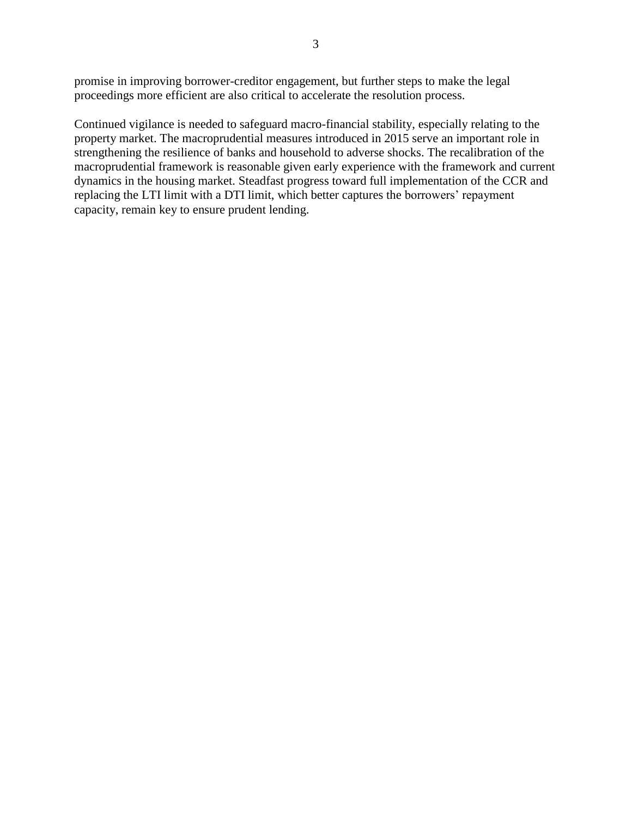promise in improving borrower-creditor engagement, but further steps to make the legal proceedings more efficient are also critical to accelerate the resolution process.

Continued vigilance is needed to safeguard macro-financial stability, especially relating to the property market. The macroprudential measures introduced in 2015 serve an important role in strengthening the resilience of banks and household to adverse shocks. The recalibration of the macroprudential framework is reasonable given early experience with the framework and current dynamics in the housing market. Steadfast progress toward full implementation of the CCR and replacing the LTI limit with a DTI limit, which better captures the borrowers' repayment capacity, remain key to ensure prudent lending.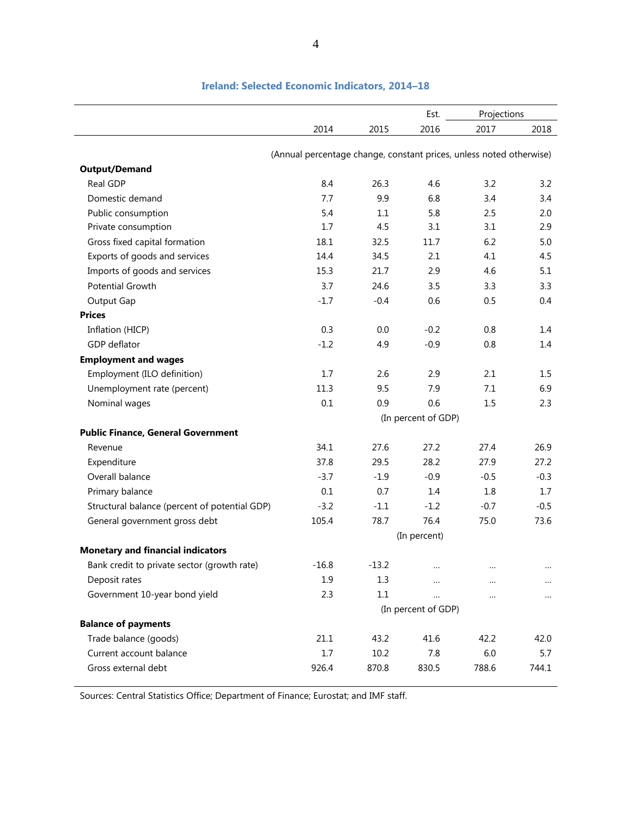|                                               |                                                                     |         | Est.                | Projections |          |
|-----------------------------------------------|---------------------------------------------------------------------|---------|---------------------|-------------|----------|
|                                               | 2014                                                                | 2015    | 2016                | 2017        | 2018     |
|                                               |                                                                     |         |                     |             |          |
|                                               | (Annual percentage change, constant prices, unless noted otherwise) |         |                     |             |          |
| <b>Output/Demand</b>                          |                                                                     |         |                     |             |          |
| Real GDP                                      | 8.4                                                                 | 26.3    | 4.6                 | 3.2         | 3.2      |
| Domestic demand                               | 7.7                                                                 | 9.9     | 6.8                 | 3.4         | 3.4      |
| Public consumption                            | 5.4                                                                 | 1.1     | 5.8                 | 2.5         | 2.0      |
| Private consumption                           | 1.7                                                                 | 4.5     | 3.1                 | 3.1         | 2.9      |
| Gross fixed capital formation                 | 18.1                                                                | 32.5    | 11.7                | 6.2         | 5.0      |
| Exports of goods and services                 | 14.4                                                                | 34.5    | 2.1                 | 4.1         | 4.5      |
| Imports of goods and services                 | 15.3                                                                | 21.7    | 2.9                 | 4.6         | 5.1      |
| <b>Potential Growth</b>                       | 3.7                                                                 | 24.6    | 3.5                 | 3.3         | 3.3      |
| Output Gap                                    | $-1.7$                                                              | $-0.4$  | 0.6                 | 0.5         | 0.4      |
| <b>Prices</b>                                 |                                                                     |         |                     |             |          |
| Inflation (HICP)                              | 0.3                                                                 | 0.0     | $-0.2$              | 0.8         | 1.4      |
| GDP deflator                                  | $-1.2$                                                              | 4.9     | $-0.9$              | 0.8         | 1.4      |
| <b>Employment and wages</b>                   |                                                                     |         |                     |             |          |
| Employment (ILO definition)                   | 1.7                                                                 | 2.6     | 2.9                 | 2.1         | 1.5      |
| Unemployment rate (percent)                   | 11.3                                                                | 9.5     | 7.9                 | 7.1         | 6.9      |
| Nominal wages                                 | 0.1                                                                 | 0.9     | 0.6                 | 1.5         | 2.3      |
|                                               |                                                                     |         | (In percent of GDP) |             |          |
| <b>Public Finance, General Government</b>     |                                                                     |         |                     |             |          |
| Revenue                                       | 34.1                                                                | 27.6    | 27.2                | 27.4        | 26.9     |
| Expenditure                                   | 37.8                                                                | 29.5    | 28.2                | 27.9        | 27.2     |
| Overall balance                               | $-3.7$                                                              | $-1.9$  | $-0.9$              | $-0.5$      | $-0.3$   |
| Primary balance                               | 0.1                                                                 | 0.7     | 1.4                 | 1.8         | 1.7      |
| Structural balance (percent of potential GDP) | $-3.2$                                                              | $-1.1$  | $-1.2$              | $-0.7$      | $-0.5$   |
| General government gross debt                 | 105.4                                                               | 78.7    | 76.4                | 75.0        | 73.6     |
|                                               |                                                                     |         | (In percent)        |             |          |
| <b>Monetary and financial indicators</b>      |                                                                     |         |                     |             |          |
| Bank credit to private sector (growth rate)   | $-16.8$                                                             | $-13.2$ |                     |             |          |
| Deposit rates                                 | 1.9                                                                 | 1.3     |                     |             | $\cdots$ |
|                                               |                                                                     | 1.1     |                     |             |          |
| Government 10-year bond yield                 | 2.3                                                                 |         | $\cdots$            |             | $\cdots$ |
|                                               |                                                                     |         | (In percent of GDP) |             |          |
| <b>Balance of payments</b>                    |                                                                     |         |                     |             |          |
| Trade balance (goods)                         | 21.1                                                                | 43.2    | 41.6                | 42.2        | 42.0     |
| Current account balance                       | 1.7                                                                 | 10.2    | 7.8                 | 6.0         | 5.7      |
| Gross external debt                           | 926.4                                                               | 870.8   | 830.5               | 788.6       | 744.1    |

#### **Ireland: Selected Economic Indicators, 2014–18**

Sources: Central Statistics Office; Department of Finance; Eurostat; and IMF staff.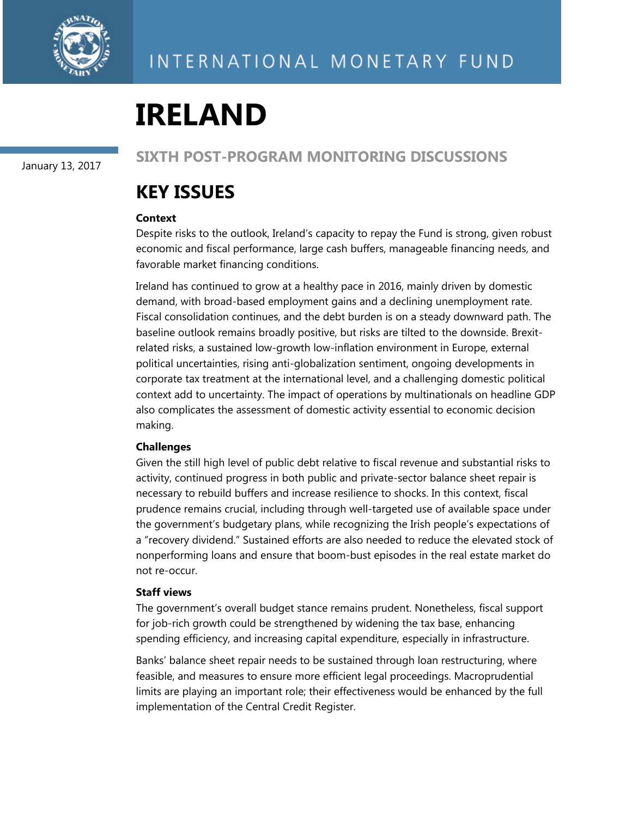

# **IRELAND**

January 13, 2017

**SIXTH POST-PROGRAM MONITORING DISCUSSIONS** 

# **KEY ISSUES**

#### **Context**

Despite risks to the outlook, Ireland's capacity to repay the Fund is strong, given robust economic and fiscal performance, large cash buffers, manageable financing needs, and favorable market financing conditions.

Ireland has continued to grow at a healthy pace in 2016, mainly driven by domestic demand, with broad-based employment gains and a declining unemployment rate. Fiscal consolidation continues, and the debt burden is on a steady downward path. The baseline outlook remains broadly positive, but risks are tilted to the downside. Brexitrelated risks, a sustained low-growth low-inflation environment in Europe, external political uncertainties, rising anti-globalization sentiment, ongoing developments in corporate tax treatment at the international level, and a challenging domestic political context add to uncertainty. The impact of operations by multinationals on headline GDP also complicates the assessment of domestic activity essential to economic decision making.

#### **Challenges**

Given the still high level of public debt relative to fiscal revenue and substantial risks to activity, continued progress in both public and private-sector balance sheet repair is necessary to rebuild buffers and increase resilience to shocks. In this context, fiscal prudence remains crucial, including through well-targeted use of available space under the government's budgetary plans, while recognizing the Irish people's expectations of a "recovery dividend." Sustained efforts are also needed to reduce the elevated stock of nonperforming loans and ensure that boom-bust episodes in the real estate market do not re-occur.

#### **Staff views**

The government's overall budget stance remains prudent. Nonetheless, fiscal support for job-rich growth could be strengthened by widening the tax base, enhancing spending efficiency, and increasing capital expenditure, especially in infrastructure.

Banks' balance sheet repair needs to be sustained through loan restructuring, where feasible, and measures to ensure more efficient legal proceedings. Macroprudential limits are playing an important role; their effectiveness would be enhanced by the full implementation of the Central Credit Register.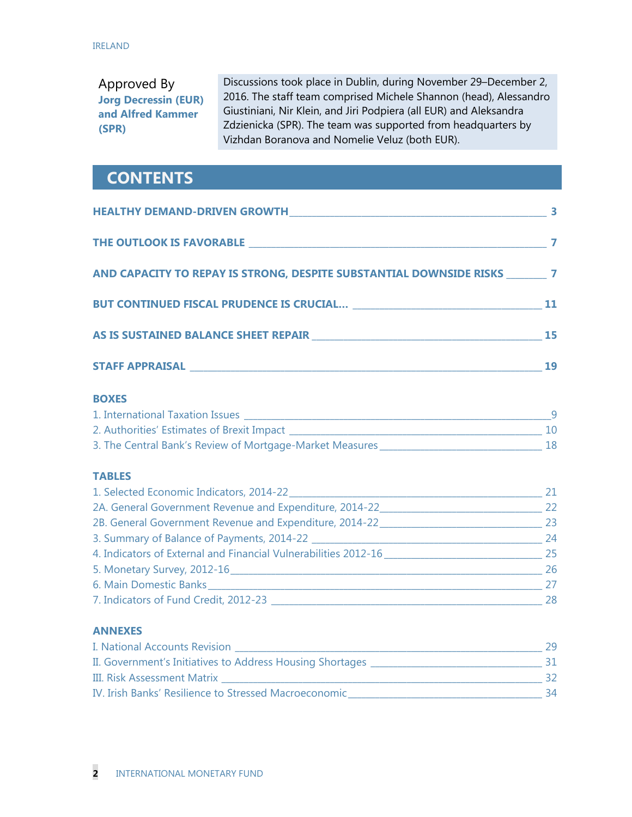Approved By **Jorg Decressin (EUR) and Alfred Kammer (SPR)** 

Discussions took place in Dublin, during November 29–December 2, 2016. The staff team comprised Michele Shannon (head), Alessandro Giustiniani, Nir Klein, and Jiri Podpiera (all EUR) and Aleksandra Zdzienicka (SPR). The team was supported from headquarters by Vizhdan Boranova and Nomelie Veluz (both EUR).

# **CONTENTS**

| AND CAPACITY TO REPAY IS STRONG, DESPITE SUBSTANTIAL DOWNSIDE RISKS ________ 7 |  |
|--------------------------------------------------------------------------------|--|
|                                                                                |  |
|                                                                                |  |
|                                                                                |  |
| <b>BOXES</b>                                                                   |  |
|                                                                                |  |
|                                                                                |  |
|                                                                                |  |
| <b>TABLES</b>                                                                  |  |
|                                                                                |  |
|                                                                                |  |
|                                                                                |  |
|                                                                                |  |
| 4. Indicators of External and Financial Vulnerabilities 2012-16                |  |
|                                                                                |  |
|                                                                                |  |
|                                                                                |  |

| I. National Accounts Revision                             | 29 |
|-----------------------------------------------------------|----|
| II. Government's Initiatives to Address Housing Shortages |    |
| III. Risk Assessment Matrix                               |    |
| IV. Irish Banks' Resilience to Stressed Macroeconomic     | 34 |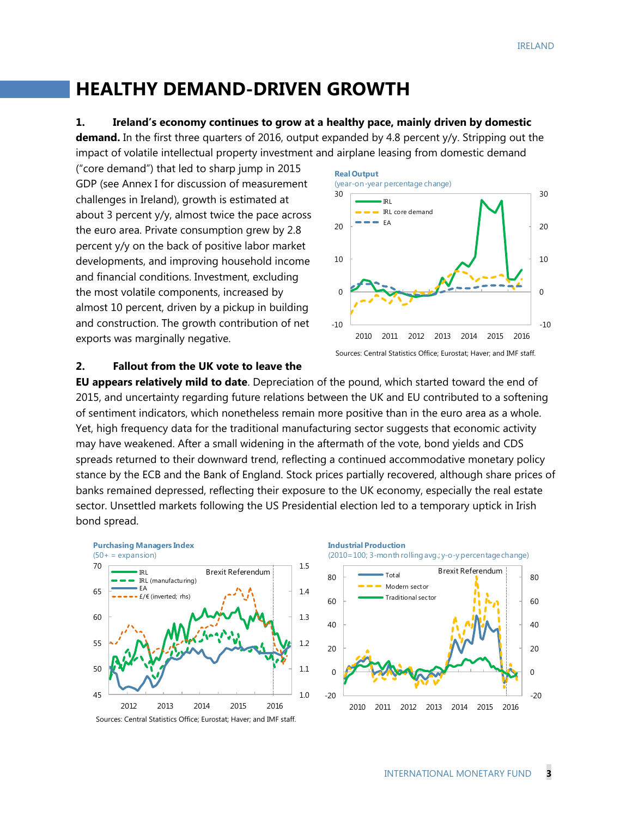# **HEALTHY DEMAND-DRIVEN GROWTH**

#### **1. Ireland's economy continues to grow at a healthy pace, mainly driven by domestic**

**demand.** In the first three quarters of 2016, output expanded by 4.8 percent y/y. Stripping out the impact of volatile intellectual property investment and airplane leasing from domestic demand

("core demand") that led to sharp jump in 2015 GDP (see Annex I for discussion of measurement challenges in Ireland), growth is estimated at about 3 percent y/y, almost twice the pace across the euro area. Private consumption grew by 2.8 percent y/y on the back of positive labor market developments, and improving household income and financial conditions. Investment, excluding the most volatile components, increased by almost 10 percent, driven by a pickup in building and construction. The growth contribution of net exports was marginally negative.



Sources: Central Statistics Office; Eurostat; Haver; and IMF staff.

#### **2. Fallout from the UK vote to leave the**

**EU appears relatively mild to date**. Depreciation of the pound, which started toward the end of 2015, and uncertainty regarding future relations between the UK and EU contributed to a softening of sentiment indicators, which nonetheless remain more positive than in the euro area as a whole. Yet, high frequency data for the traditional manufacturing sector suggests that economic activity may have weakened. After a small widening in the aftermath of the vote, bond yields and CDS spreads returned to their downward trend, reflecting a continued accommodative monetary policy stance by the ECB and the Bank of England. Stock prices partially recovered, although share prices of banks remained depressed, reflecting their exposure to the UK economy, especially the real estate sector. Unsettled markets following the US Presidential election led to a temporary uptick in Irish bond spread.



Sources: Central Statistics Office; Eurostat; Haver; and IMF staff.

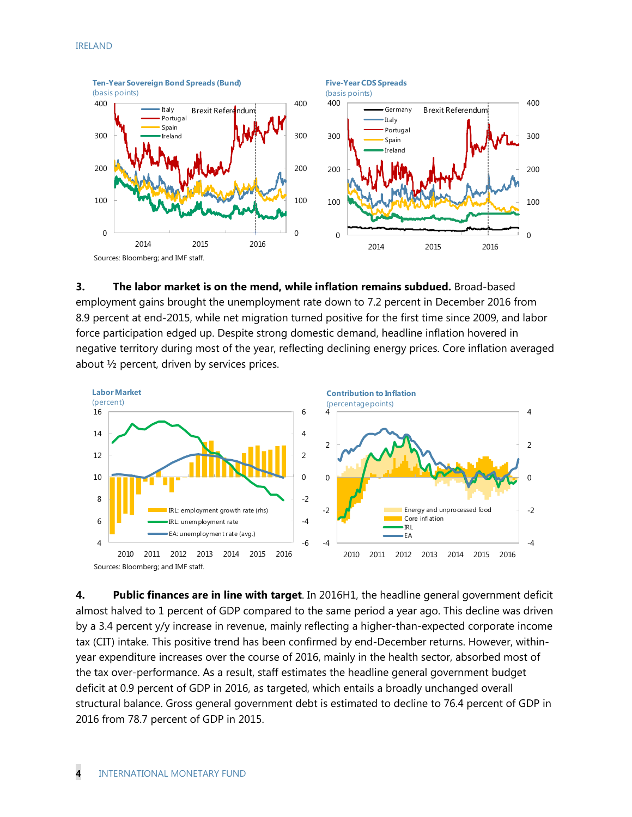

**3. The labor market is on the mend, while inflation remains subdued.** Broad-based employment gains brought the unemployment rate down to 7.2 percent in December 2016 from 8.9 percent at end-2015, while net migration turned positive for the first time since 2009, and labor force participation edged up. Despite strong domestic demand, headline inflation hovered in negative territory during most of the year, reflecting declining energy prices. Core inflation averaged about ½ percent, driven by services prices.



**4. Public finances are in line with target**. In 2016H1, the headline general government deficit almost halved to 1 percent of GDP compared to the same period a year ago. This decline was driven by a 3.4 percent y/y increase in revenue, mainly reflecting a higher-than-expected corporate income tax (CIT) intake. This positive trend has been confirmed by end-December returns. However, withinyear expenditure increases over the course of 2016, mainly in the health sector, absorbed most of the tax over-performance. As a result, staff estimates the headline general government budget deficit at 0.9 percent of GDP in 2016, as targeted, which entails a broadly unchanged overall structural balance. Gross general government debt is estimated to decline to 76.4 percent of GDP in 2016 from 78.7 percent of GDP in 2015.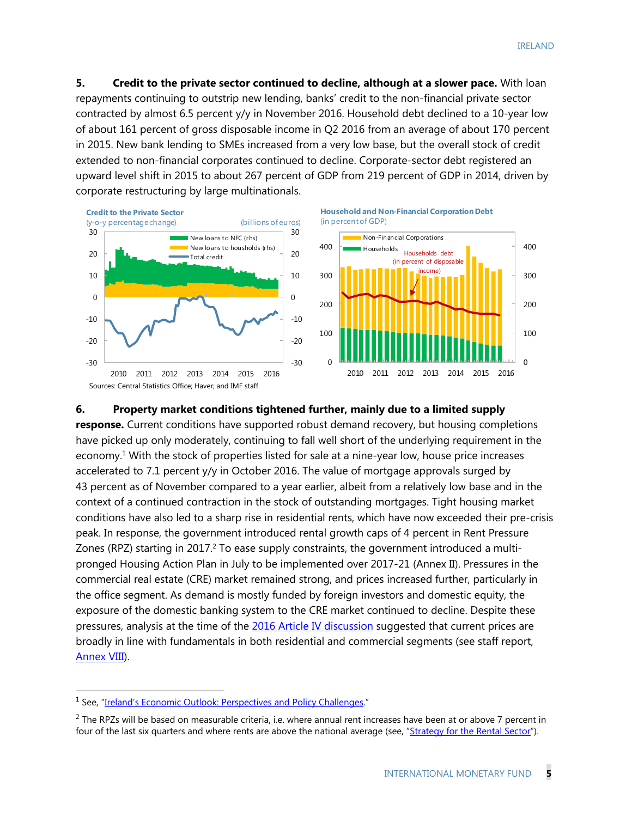**5. Credit to the private sector continued to decline, although at a slower pace.** With loan repayments continuing to outstrip new lending, banks' credit to the non-financial private sector contracted by almost 6.5 percent y/y in November 2016. Household debt declined to a 10-year low of about 161 percent of gross disposable income in Q2 2016 from an average of about 170 percent in 2015. New bank lending to SMEs increased from a very low base, but the overall stock of credit extended to non-financial corporates continued to decline. Corporate-sector debt registered an upward level shift in 2015 to about 267 percent of GDP from 219 percent of GDP in 2014, driven by corporate restructuring by large multinationals.







#### **6. Property market conditions tightened further, mainly due to a limited supply**

**response.** Current conditions have supported robust demand recovery, but housing completions have picked up only moderately, continuing to fall well short of the underlying requirement in the economy.<sup>1</sup> With the stock of properties listed for sale at a nine-year low, house price increases accelerated to 7.1 percent y/y in October 2016. The value of mortgage approvals surged by 43 percent as of November compared to a year earlier, albeit from a relatively low base and in the context of a continued contraction in the stock of outstanding mortgages. Tight housing market conditions have also led to a sharp rise in residential rents, which have now exceeded their pre-crisis peak. In response, the government introduced rental growth caps of 4 percent in Rent Pressure Zones (RPZ) starting in 2017.<sup>2</sup> To ease supply constraints, the government introduced a multipronged Housing Action Plan in July to be implemented over 2017-21 (Annex II). Pressures in the commercial real estate (CRE) market remained strong, and prices increased further, particularly in the office segment. As demand is mostly funded by foreign investors and domestic equity, the exposure of the domestic banking system to the CRE market continued to decline. Despite these pressures, analysis at the time of the 2016 Article IV discussion suggested that current prices are broadly in line with fundamentals in both residential and commercial segments (see staff report, Annex VIII).

-

<sup>&</sup>lt;sup>1</sup> See, "Ireland's Economic Outlook: Perspectives and Policy Challenges."

 $2$  The RPZs will be based on measurable criteria, i.e. where annual rent increases have been at or above 7 percent in four of the last six quarters and where rents are above the national average (see, "Strategy for the Rental Sector").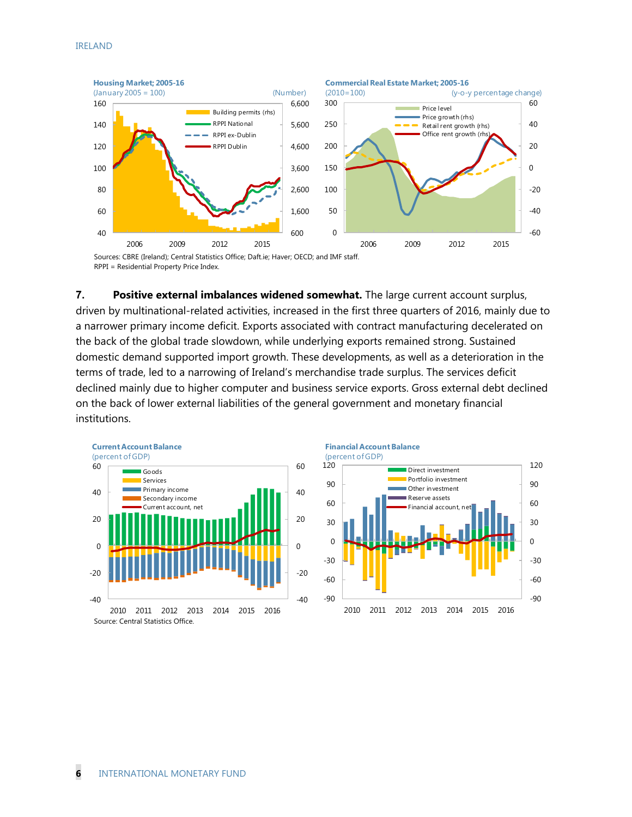



**7. Positive external imbalances widened somewhat.** The large current account surplus, driven by multinational-related activities, increased in the first three quarters of 2016, mainly due to a narrower primary income deficit. Exports associated with contract manufacturing decelerated on the back of the global trade slowdown, while underlying exports remained strong. Sustained domestic demand supported import growth. These developments, as well as a deterioration in the terms of trade, led to a narrowing of Ireland's merchandise trade surplus. The services deficit declined mainly due to higher computer and business service exports. Gross external debt declined on the back of lower external liabilities of the general government and monetary financial institutions.



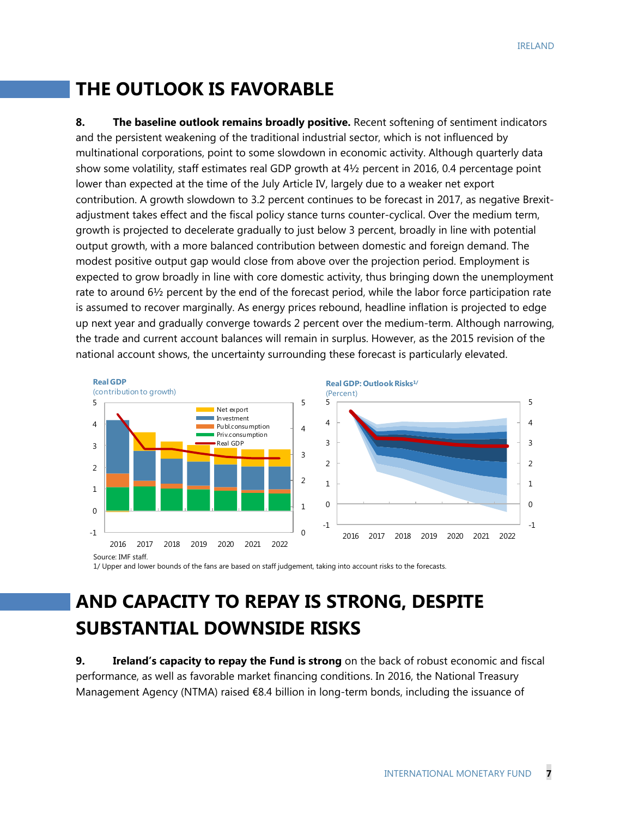# **THE OUTLOOK IS FAVORABLE**

**8.** The baseline outlook remains broadly positive. Recent softening of sentiment indicators and the persistent weakening of the traditional industrial sector, which is not influenced by multinational corporations, point to some slowdown in economic activity. Although quarterly data show some volatility, staff estimates real GDP growth at 4½ percent in 2016, 0.4 percentage point lower than expected at the time of the July Article IV, largely due to a weaker net export contribution. A growth slowdown to 3.2 percent continues to be forecast in 2017, as negative Brexitadjustment takes effect and the fiscal policy stance turns counter-cyclical. Over the medium term, growth is projected to decelerate gradually to just below 3 percent, broadly in line with potential output growth, with a more balanced contribution between domestic and foreign demand. The modest positive output gap would close from above over the projection period. Employment is expected to grow broadly in line with core domestic activity, thus bringing down the unemployment rate to around  $6\frac{1}{2}$  percent by the end of the forecast period, while the labor force participation rate is assumed to recover marginally. As energy prices rebound, headline inflation is projected to edge up next year and gradually converge towards 2 percent over the medium-term. Although narrowing, the trade and current account balances will remain in surplus. However, as the 2015 revision of the national account shows, the uncertainty surrounding these forecast is particularly elevated.



1/ Upper and lower bounds of the fans are based on staff judgement, taking into account risks to the forecasts.

# **AND CAPACITY TO REPAY IS STRONG, DESPITE SUBSTANTIAL DOWNSIDE RISKS**

**9. Ireland's capacity to repay the Fund is strong** on the back of robust economic and fiscal performance, as well as favorable market financing conditions. In 2016, the National Treasury Management Agency (NTMA) raised €8.4 billion in long-term bonds, including the issuance of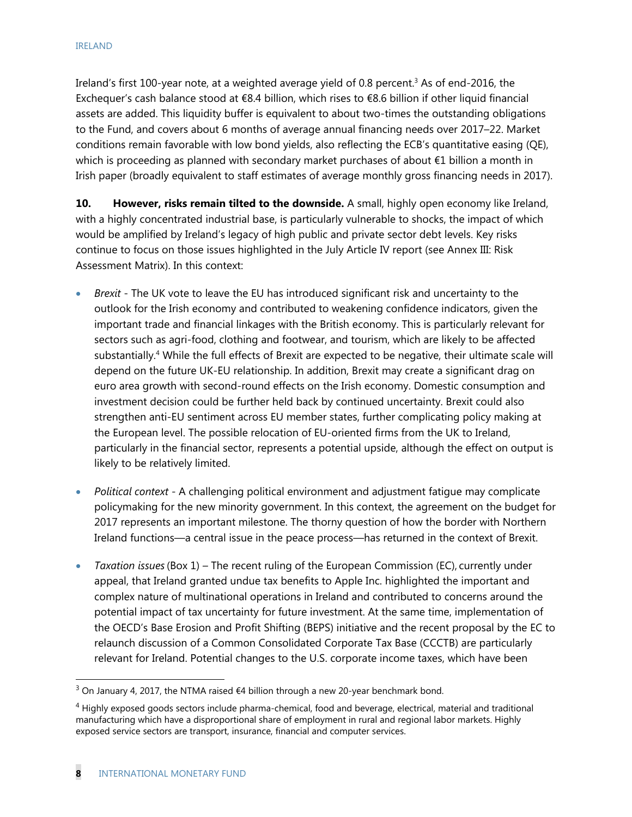Ireland's first 100-year note, at a weighted average yield of 0.8 percent.<sup>3</sup> As of end-2016, the Exchequer's cash balance stood at  $\epsilon$ 8.4 billion, which rises to  $\epsilon$ 8.6 billion if other liquid financial assets are added. This liquidity buffer is equivalent to about two-times the outstanding obligations to the Fund, and covers about 6 months of average annual financing needs over 2017–22. Market conditions remain favorable with low bond yields, also reflecting the ECB's quantitative easing (QE), which is proceeding as planned with secondary market purchases of about  $\epsilon$ 1 billion a month in Irish paper (broadly equivalent to staff estimates of average monthly gross financing needs in 2017).

**10. However, risks remain tilted to the downside.** A small, highly open economy like Ireland, with a highly concentrated industrial base, is particularly vulnerable to shocks, the impact of which would be amplified by Ireland's legacy of high public and private sector debt levels. Key risks continue to focus on those issues highlighted in the July Article IV report (see Annex III: Risk Assessment Matrix). In this context:

- *Brexit* The UK vote to leave the EU has introduced significant risk and uncertainty to the outlook for the Irish economy and contributed to weakening confidence indicators, given the important trade and financial linkages with the British economy. This is particularly relevant for sectors such as agri-food, clothing and footwear, and tourism, which are likely to be affected substantially.4 While the full effects of Brexit are expected to be negative, their ultimate scale will depend on the future UK-EU relationship. In addition, Brexit may create a significant drag on euro area growth with second-round effects on the Irish economy. Domestic consumption and investment decision could be further held back by continued uncertainty. Brexit could also strengthen anti-EU sentiment across EU member states, further complicating policy making at the European level. The possible relocation of EU-oriented firms from the UK to Ireland, particularly in the financial sector, represents a potential upside, although the effect on output is likely to be relatively limited.
- *Political context -* A challenging political environment and adjustment fatigue may complicate policymaking for the new minority government. In this context, the agreement on the budget for 2017 represents an important milestone. The thorny question of how the border with Northern Ireland functions—a central issue in the peace process—has returned in the context of Brexit.
- *Taxation issues*(Box 1) The recent ruling of the European Commission (EC), currently under appeal, that Ireland granted undue tax benefits to Apple Inc. highlighted the important and complex nature of multinational operations in Ireland and contributed to concerns around the potential impact of tax uncertainty for future investment. At the same time, implementation of the OECD's Base Erosion and Profit Shifting (BEPS) initiative and the recent proposal by the EC to relaunch discussion of a Common Consolidated Corporate Tax Base (CCCTB) are particularly relevant for Ireland. Potential changes to the U.S. corporate income taxes, which have been

-

<sup>&</sup>lt;sup>3</sup> On January 4, 2017, the NTMA raised €4 billion through a new 20-year benchmark bond.

 $4$  Highly exposed goods sectors include pharma-chemical, food and beverage, electrical, material and traditional manufacturing which have a disproportional share of employment in rural and regional labor markets. Highly exposed service sectors are transport, insurance, financial and computer services.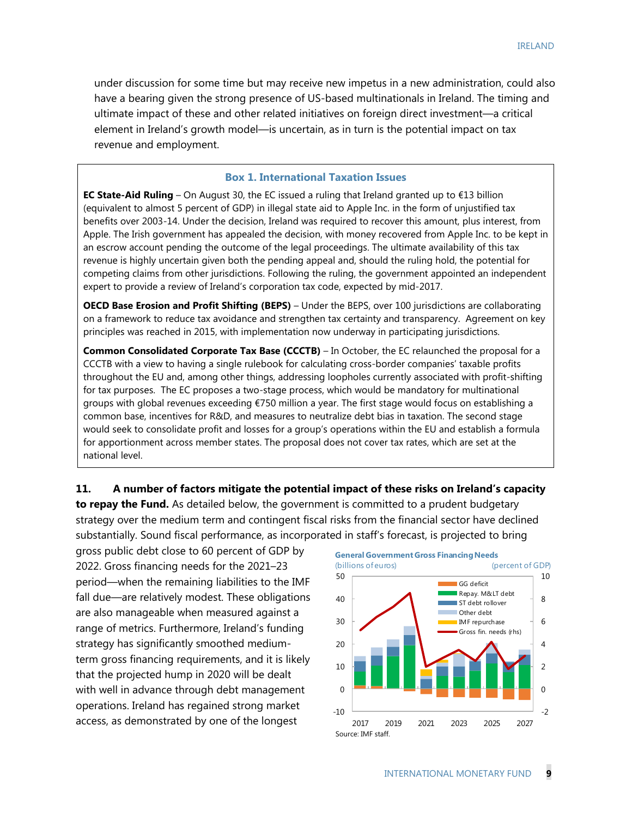under discussion for some time but may receive new impetus in a new administration, could also have a bearing given the strong presence of US-based multinationals in Ireland. The timing and ultimate impact of these and other related initiatives on foreign direct investment—a critical element in Ireland's growth model—is uncertain, as in turn is the potential impact on tax revenue and employment.

#### **Box 1. International Taxation Issues**

**EC State-Aid Ruling** – On August 30, the EC issued a ruling that Ireland granted up to €13 billion (equivalent to almost 5 percent of GDP) in illegal state aid to Apple Inc. in the form of unjustified tax benefits over 2003-14. Under the decision, Ireland was required to recover this amount, plus interest, from Apple. The Irish government has appealed the decision, with money recovered from Apple Inc. to be kept in an escrow account pending the outcome of the legal proceedings. The ultimate availability of this tax revenue is highly uncertain given both the pending appeal and, should the ruling hold, the potential for competing claims from other jurisdictions. Following the ruling, the government appointed an independent expert to provide a review of Ireland's corporation tax code, expected by mid-2017.

**OECD Base Erosion and Profit Shifting (BEPS)** – Under the BEPS, over 100 jurisdictions are collaborating on a framework to reduce tax avoidance and strengthen tax certainty and transparency. Agreement on key principles was reached in 2015, with implementation now underway in participating jurisdictions.

**Common Consolidated Corporate Tax Base (CCCTB)** – In October, the EC relaunched the proposal for a CCCTB with a view to having a single rulebook for calculating cross-border companies' taxable profits throughout the EU and, among other things, addressing loopholes currently associated with profit-shifting for tax purposes. The EC proposes a two-stage process, which would be mandatory for multinational groups with global revenues exceeding €750 million a year. The first stage would focus on establishing a common base, incentives for R&D, and measures to neutralize debt bias in taxation. The second stage would seek to consolidate profit and losses for a group's operations within the EU and establish a formula for apportionment across member states. The proposal does not cover tax rates, which are set at the national level.

**11. A number of factors mitigate the potential impact of these risks on Ireland's capacity** 

**to repay the Fund.** As detailed below, the government is committed to a prudent budgetary strategy over the medium term and contingent fiscal risks from the financial sector have declined substantially. Sound fiscal performance, as incorporated in staff's forecast, is projected to bring

gross public debt close to 60 percent of GDP by 2022. Gross financing needs for the 2021–23 period—when the remaining liabilities to the IMF fall due—are relatively modest. These obligations are also manageable when measured against a range of metrics. Furthermore, Ireland's funding strategy has significantly smoothed mediumterm gross financing requirements, and it is likely that the projected hump in 2020 will be dealt with well in advance through debt management operations. Ireland has regained strong market access, as demonstrated by one of the longest

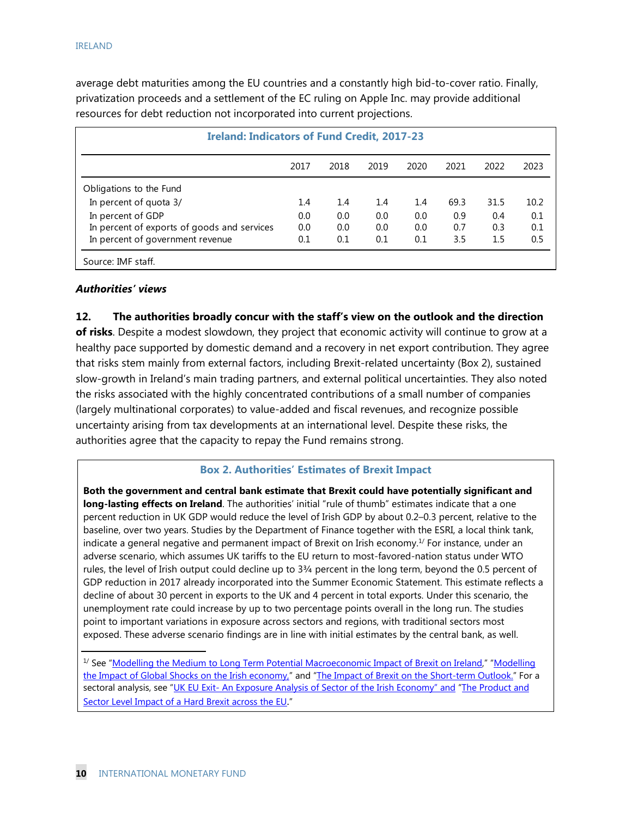average debt maturities among the EU countries and a constantly high bid-to-cover ratio. Finally, privatization proceeds and a settlement of the EC ruling on Apple Inc. may provide additional resources for debt reduction not incorporated into current projections.

| <b>Ireland: Indicators of Fund Credit, 2017-23</b> |      |      |      |      |      |      |      |
|----------------------------------------------------|------|------|------|------|------|------|------|
|                                                    | 2017 | 2018 | 2019 | 2020 | 2021 | 2022 | 2023 |
| Obligations to the Fund                            |      |      |      |      |      |      |      |
| In percent of quota 3/                             | 1.4  | 1.4  | 1.4  | 1.4  | 69.3 | 31.5 | 10.2 |
| In percent of GDP                                  | 0.0  | 0.0  | 0.0  | 0.0  | 0.9  | 0.4  | 0.1  |
| In percent of exports of goods and services        | 0.0  | 0.0  | 0.0  | 0.0  | 0.7  | 0.3  | 0.1  |
| In percent of government revenue                   | 0.1  | 0.1  | 0.1  | 0.1  | 3.5  | 1.5  | 0.5  |

#### *Authorities' views*

#### **12. The authorities broadly concur with the staff's view on the outlook and the direction**

**of risks**. Despite a modest slowdown, they project that economic activity will continue to grow at a healthy pace supported by domestic demand and a recovery in net export contribution. They agree that risks stem mainly from external factors, including Brexit-related uncertainty (Box 2), sustained slow-growth in Ireland's main trading partners, and external political uncertainties. They also noted the risks associated with the highly concentrated contributions of a small number of companies (largely multinational corporates) to value-added and fiscal revenues, and recognize possible uncertainty arising from tax developments at an international level. Despite these risks, the authorities agree that the capacity to repay the Fund remains strong.

#### **Box 2. Authorities' Estimates of Brexit Impact**

**Both the government and central bank estimate that Brexit could have potentially significant and long-lasting effects on Ireland**. The authorities' initial "rule of thumb" estimates indicate that a one percent reduction in UK GDP would reduce the level of Irish GDP by about 0.2–0.3 percent, relative to the baseline, over two years. Studies by the Department of Finance together with the ESRI, a local think tank, indicate a general negative and permanent impact of Brexit on Irish economy.<sup>1/</sup> For instance, under an adverse scenario, which assumes UK tariffs to the EU return to most-favored-nation status under WTO rules, the level of Irish output could decline up to 3¾ percent in the long term, beyond the 0.5 percent of GDP reduction in 2017 already incorporated into the Summer Economic Statement. This estimate reflects a decline of about 30 percent in exports to the UK and 4 percent in total exports. Under this scenario, the unemployment rate could increase by up to two percentage points overall in the long run. The studies point to important variations in exposure across sectors and regions, with traditional sectors most exposed. These adverse scenario findings are in line with initial estimates by the central bank, as well.

<sup>&</sup>lt;sup>1/</sup> See "Modelling the Medium to Long Term Potential Macroeconomic Impact of Brexit on Ireland," "Modelling the Impact of Global Shocks on the Irish economy," and "The Impact of Brexit on the Short-term Outlook." For a sectoral analysis, see "UK EU Exit- An Exposure Analysis of Sector of the Irish Economy" and "The Product and Sector Level Impact of a Hard Brexit across the EU."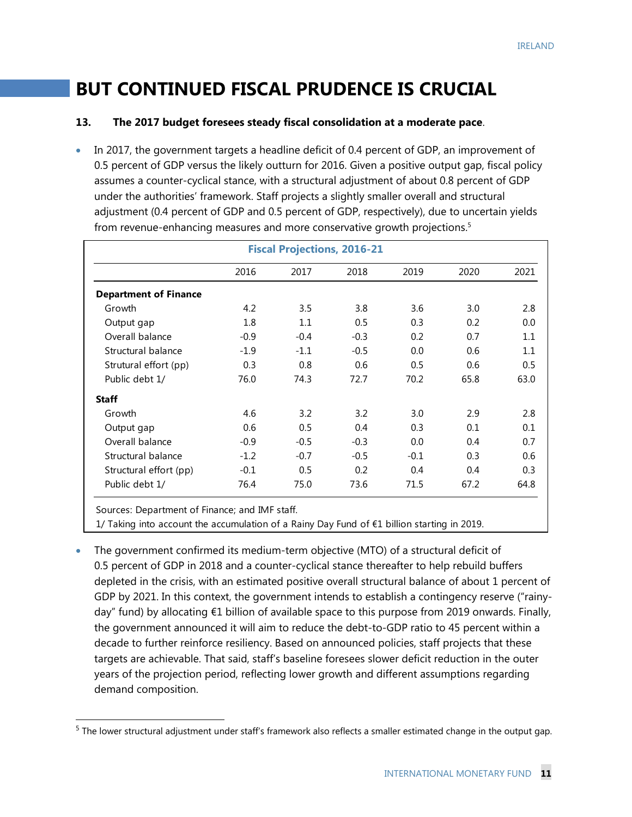# **BUT CONTINUED FISCAL PRUDENCE IS CRUCIAL**

#### **13. The 2017 budget foresees steady fiscal consolidation at a moderate pace**.

 In 2017, the government targets a headline deficit of 0.4 percent of GDP, an improvement of 0.5 percent of GDP versus the likely outturn for 2016. Given a positive output gap, fiscal policy assumes a counter-cyclical stance, with a structural adjustment of about 0.8 percent of GDP under the authorities' framework. Staff projects a slightly smaller overall and structural adjustment (0.4 percent of GDP and 0.5 percent of GDP, respectively), due to uncertain yields from revenue-enhancing measures and more conservative growth projections.<sup>5</sup>

|                              | <b>Fiscal Projections, 2016-21</b> |        |        |        |      |      |  |  |  |  |
|------------------------------|------------------------------------|--------|--------|--------|------|------|--|--|--|--|
|                              | 2016                               | 2017   | 2018   | 2019   | 2020 | 2021 |  |  |  |  |
| <b>Department of Finance</b> |                                    |        |        |        |      |      |  |  |  |  |
| Growth                       | 4.2                                | 3.5    | 3.8    | 3.6    | 3.0  | 2.8  |  |  |  |  |
| Output gap                   | 1.8                                | 1.1    | 0.5    | 0.3    | 0.2  | 0.0  |  |  |  |  |
| Overall balance              | $-0.9$                             | $-0.4$ | $-0.3$ | 0.2    | 0.7  | 1.1  |  |  |  |  |
| Structural balance           | $-1.9$                             | $-1.1$ | $-0.5$ | 0.0    | 0.6  | 1.1  |  |  |  |  |
| Strutural effort (pp)        | 0.3                                | 0.8    | 0.6    | 0.5    | 0.6  | 0.5  |  |  |  |  |
| Public debt 1/               | 76.0                               | 74.3   | 72.7   | 70.2   | 65.8 | 63.0 |  |  |  |  |
| <b>Staff</b>                 |                                    |        |        |        |      |      |  |  |  |  |
| Growth                       | 4.6                                | 3.2    | 3.2    | 3.0    | 2.9  | 2.8  |  |  |  |  |
| Output gap                   | 0.6                                | 0.5    | 0.4    | 0.3    | 0.1  | 0.1  |  |  |  |  |
| Overall balance              | $-0.9$                             | $-0.5$ | $-0.3$ | 0.0    | 0.4  | 0.7  |  |  |  |  |
| Structural balance           | $-1.2$                             | $-0.7$ | $-0.5$ | $-0.1$ | 0.3  | 0.6  |  |  |  |  |
| Structural effort (pp)       | $-0.1$                             | 0.5    | 0.2    | 0.4    | 0.4  | 0.3  |  |  |  |  |
| Public debt 1/               | 76.4                               | 75.0   | 73.6   | 71.5   | 67.2 | 64.8 |  |  |  |  |

Sources: Department of Finance; and IMF staff.

-

1/ Taking into account the accumulation of a Rainy Day Fund of €1 billion starting in 2019.

 The government confirmed its medium-term objective (MTO) of a structural deficit of 0.5 percent of GDP in 2018 and a counter-cyclical stance thereafter to help rebuild buffers depleted in the crisis, with an estimated positive overall structural balance of about 1 percent of GDP by 2021. In this context, the government intends to establish a contingency reserve ("rainyday" fund) by allocating €1 billion of available space to this purpose from 2019 onwards. Finally, the government announced it will aim to reduce the debt-to-GDP ratio to 45 percent within a decade to further reinforce resiliency. Based on announced policies, staff projects that these targets are achievable. That said, staff's baseline foresees slower deficit reduction in the outer years of the projection period, reflecting lower growth and different assumptions regarding demand composition.

<sup>&</sup>lt;sup>5</sup> The lower structural adjustment under staff's framework also reflects a smaller estimated change in the output gap.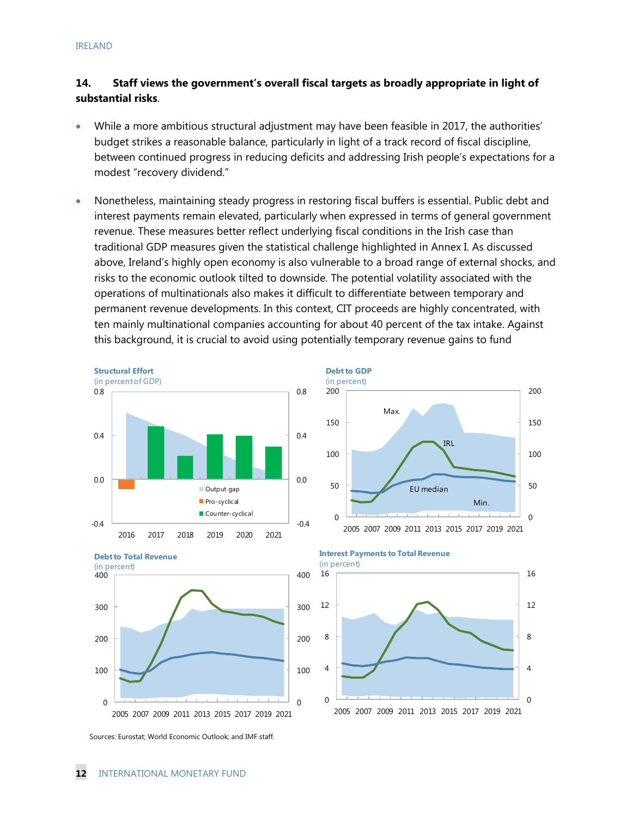#### **14. Staff views the government's overall fiscal targets as broadly appropriate in light of substantial risks**.

- While a more ambitious structural adjustment may have been feasible in 2017, the authorities' budget strikes a reasonable balance, particularly in light of a track record of fiscal discipline, between continued progress in reducing deficits and addressing Irish people's expectations for a modest "recovery dividend."
- Nonetheless, maintaining steady progress in restoring fiscal buffers is essential. Public debt and interest payments remain elevated, particularly when expressed in terms of general government revenue. These measures better reflect underlying fiscal conditions in the Irish case than traditional GDP measures given the statistical challenge highlighted in Annex I. As discussed above, Ireland's highly open economy is also vulnerable to a broad range of external shocks, and risks to the economic outlook tilted to downside. The potential volatility associated with the operations of multinationals also makes it difficult to differentiate between temporary and permanent revenue developments. In this context, CIT proceeds are highly concentrated, with ten mainly multinational companies accounting for about 40 percent of the tax intake. Against this background, it is crucial to avoid using potentially temporary revenue gains to fund

50

100

150

200

**Debt to GDP** (in percent)





0 2005 2007 2009 2011 2013 2015 2017 2019 2021

Max.



 $\Omega$ 

Min.

IRL

EU median

50

100

150

200

Sources: Eurostat; World Economic Outlook; and IMF staff.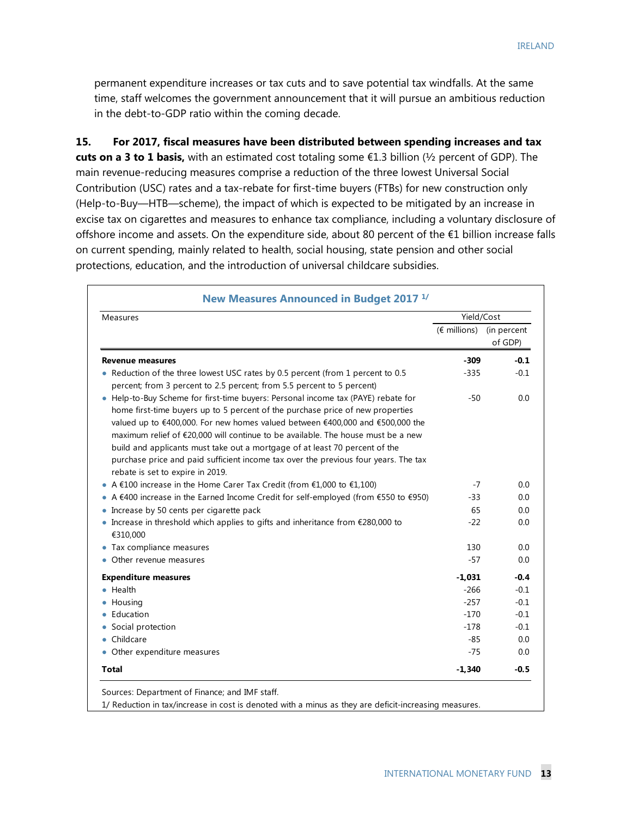permanent expenditure increases or tax cuts and to save potential tax windfalls. At the same time, staff welcomes the government announcement that it will pursue an ambitious reduction in the debt-to-GDP ratio within the coming decade.

**15. For 2017, fiscal measures have been distributed between spending increases and tax cuts on a 3 to 1 basis,** with an estimated cost totaling some €1.3 billion (½ percent of GDP). The main revenue-reducing measures comprise a reduction of the three lowest Universal Social Contribution (USC) rates and a tax-rebate for first-time buyers (FTBs) for new construction only (Help-to-Buy—HTB—scheme), the impact of which is expected to be mitigated by an increase in excise tax on cigarettes and measures to enhance tax compliance, including a voluntary disclosure of offshore income and assets. On the expenditure side, about 80 percent of the €1 billion increase falls on current spending, mainly related to health, social housing, state pension and other social protections, education, and the introduction of universal childcare subsidies.

| Measures                                                                                                                                                                                                                                                                                                                                                                                                                                                                                                                                           | Yield/Cost                        |         |
|----------------------------------------------------------------------------------------------------------------------------------------------------------------------------------------------------------------------------------------------------------------------------------------------------------------------------------------------------------------------------------------------------------------------------------------------------------------------------------------------------------------------------------------------------|-----------------------------------|---------|
|                                                                                                                                                                                                                                                                                                                                                                                                                                                                                                                                                    | $(\epsilon$ millions) (in percent | of GDP) |
| <b>Revenue measures</b>                                                                                                                                                                                                                                                                                                                                                                                                                                                                                                                            | $-309$                            | $-0.1$  |
| • Reduction of the three lowest USC rates by 0.5 percent (from 1 percent to 0.5<br>percent; from 3 percent to 2.5 percent; from 5.5 percent to 5 percent)                                                                                                                                                                                                                                                                                                                                                                                          | $-335$                            | $-0.1$  |
| • Help-to-Buy Scheme for first-time buyers: Personal income tax (PAYE) rebate for<br>home first-time buyers up to 5 percent of the purchase price of new properties<br>valued up to €400,000. For new homes valued between €400,000 and €500,000 the<br>maximum relief of €20,000 will continue to be available. The house must be a new<br>build and applicants must take out a mortgage of at least 70 percent of the<br>purchase price and paid sufficient income tax over the previous four years. The tax<br>rebate is set to expire in 2019. | -50                               | 0.0     |
| • A $£100$ increase in the Home Carer Tax Credit (from $£1,000$ to $£1,100$ )                                                                                                                                                                                                                                                                                                                                                                                                                                                                      | $-7$                              | 0.0     |
| • A $€400$ increase in the Earned Income Credit for self-employed (from $€550$ to $€950)$                                                                                                                                                                                                                                                                                                                                                                                                                                                          | -33                               | 0.0     |
| • Increase by 50 cents per cigarette pack                                                                                                                                                                                                                                                                                                                                                                                                                                                                                                          | 65                                | 0.0     |
| • Increase in threshold which applies to gifts and inheritance from $£280,000$ to<br>€310,000                                                                                                                                                                                                                                                                                                                                                                                                                                                      | $-22$                             | 0.0     |
| • Tax compliance measures                                                                                                                                                                                                                                                                                                                                                                                                                                                                                                                          | 130                               | 0.0     |
| Other revenue measures                                                                                                                                                                                                                                                                                                                                                                                                                                                                                                                             | $-57$                             | 0.0     |
| <b>Expenditure measures</b>                                                                                                                                                                                                                                                                                                                                                                                                                                                                                                                        | $-1,031$                          | $-0.4$  |
| $\bullet$ Health                                                                                                                                                                                                                                                                                                                                                                                                                                                                                                                                   | $-266$                            | $-0.1$  |
| • Housing                                                                                                                                                                                                                                                                                                                                                                                                                                                                                                                                          | $-257$                            | $-0.1$  |
| Education                                                                                                                                                                                                                                                                                                                                                                                                                                                                                                                                          | $-170$                            | $-0.1$  |
| Social protection                                                                                                                                                                                                                                                                                                                                                                                                                                                                                                                                  | $-178$                            | $-0.1$  |
| • Childcare                                                                                                                                                                                                                                                                                                                                                                                                                                                                                                                                        | $-85$                             | 0.0     |
| • Other expenditure measures                                                                                                                                                                                                                                                                                                                                                                                                                                                                                                                       | $-75$                             | 0.0     |
| Total                                                                                                                                                                                                                                                                                                                                                                                                                                                                                                                                              | $-1,340$                          | $-0.5$  |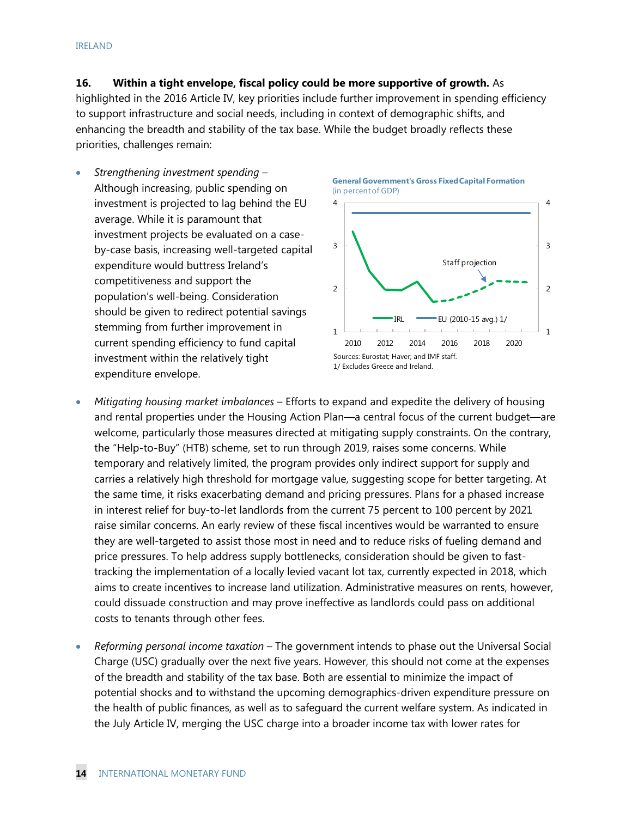**16. Within a tight envelope, fiscal policy could be more supportive of growth.** As

highlighted in the 2016 Article IV, key priorities include further improvement in spending efficiency to support infrastructure and social needs, including in context of demographic shifts, and enhancing the breadth and stability of the tax base. While the budget broadly reflects these priorities, challenges remain:

 *Strengthening investment spending* – Although increasing, public spending on investment is projected to lag behind the EU average. While it is paramount that investment projects be evaluated on a caseby-case basis, increasing well-targeted capital expenditure would buttress Ireland's competitiveness and support the population's well-being. Consideration should be given to redirect potential savings stemming from further improvement in current spending efficiency to fund capital investment within the relatively tight expenditure envelope.







- *Mitigating housing market imbalances*  Efforts to expand and expedite the delivery of housing and rental properties under the Housing Action Plan—a central focus of the current budget—are welcome, particularly those measures directed at mitigating supply constraints. On the contrary, the "Help-to-Buy" (HTB) scheme, set to run through 2019, raises some concerns. While temporary and relatively limited, the program provides only indirect support for supply and carries a relatively high threshold for mortgage value, suggesting scope for better targeting. At the same time, it risks exacerbating demand and pricing pressures. Plans for a phased increase in interest relief for buy-to-let landlords from the current 75 percent to 100 percent by 2021 raise similar concerns. An early review of these fiscal incentives would be warranted to ensure they are well-targeted to assist those most in need and to reduce risks of fueling demand and price pressures. To help address supply bottlenecks, consideration should be given to fasttracking the implementation of a locally levied vacant lot tax, currently expected in 2018, which aims to create incentives to increase land utilization. Administrative measures on rents, however, could dissuade construction and may prove ineffective as landlords could pass on additional costs to tenants through other fees.
- *Reforming personal income taxation* The government intends to phase out the Universal Social Charge (USC) gradually over the next five years. However, this should not come at the expenses of the breadth and stability of the tax base. Both are essential to minimize the impact of potential shocks and to withstand the upcoming demographics-driven expenditure pressure on the health of public finances, as well as to safeguard the current welfare system. As indicated in the July Article IV, merging the USC charge into a broader income tax with lower rates for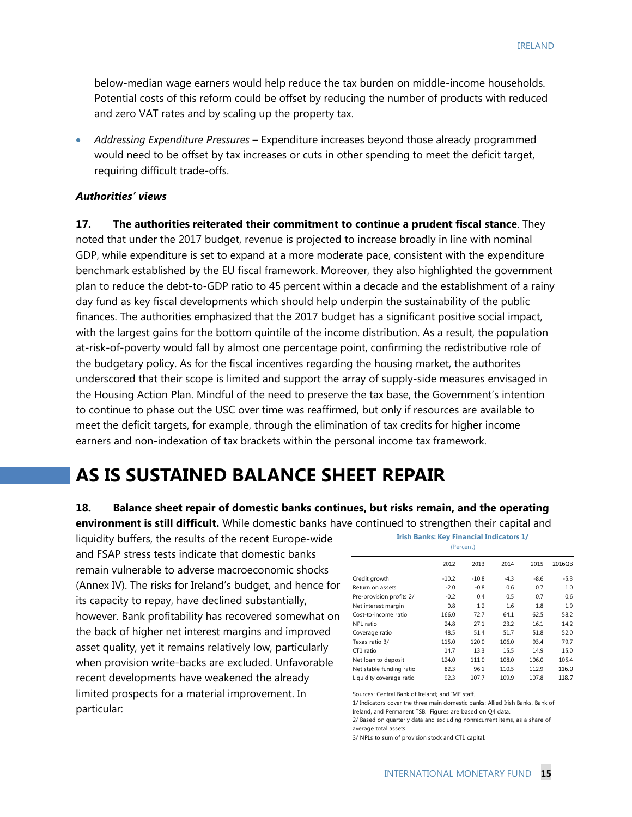below-median wage earners would help reduce the tax burden on middle-income households. Potential costs of this reform could be offset by reducing the number of products with reduced and zero VAT rates and by scaling up the property tax.

 *Addressing Expenditure Pressures* – Expenditure increases beyond those already programmed would need to be offset by tax increases or cuts in other spending to meet the deficit target, requiring difficult trade-offs.

#### *Authorities' views*

**17. The authorities reiterated their commitment to continue a prudent fiscal stance**. They noted that under the 2017 budget, revenue is projected to increase broadly in line with nominal GDP, while expenditure is set to expand at a more moderate pace, consistent with the expenditure benchmark established by the EU fiscal framework. Moreover, they also highlighted the government plan to reduce the debt-to-GDP ratio to 45 percent within a decade and the establishment of a rainy day fund as key fiscal developments which should help underpin the sustainability of the public finances. The authorities emphasized that the 2017 budget has a significant positive social impact, with the largest gains for the bottom quintile of the income distribution. As a result, the population at-risk-of-poverty would fall by almost one percentage point, confirming the redistributive role of the budgetary policy. As for the fiscal incentives regarding the housing market, the authorites underscored that their scope is limited and support the array of supply-side measures envisaged in the Housing Action Plan. Mindful of the need to preserve the tax base, the Government's intention to continue to phase out the USC over time was reaffirmed, but only if resources are available to meet the deficit targets, for example, through the elimination of tax credits for higher income earners and non-indexation of tax brackets within the personal income tax framework.

# **AS IS SUSTAINED BALANCE SHEET REPAIR**

### **18. Balance sheet repair of domestic banks continues, but risks remain, and the operating**

**environment is still difficult.** While domestic banks have continued to strengthen their capital and

liquidity buffers, the results of the recent Europe-wide and FSAP stress tests indicate that domestic banks remain vulnerable to adverse macroeconomic shocks (Annex IV). The risks for Ireland's budget, and hence for its capacity to repay, have declined substantially, however. Bank profitability has recovered somewhat on the back of higher net interest margins and improved asset quality, yet it remains relatively low, particularly when provision write-backs are excluded. Unfavorable recent developments have weakened the already limited prospects for a material improvement. In particular:

|                          | 2012    | 2013    | 2014   | 2015   | 2016Q3 |
|--------------------------|---------|---------|--------|--------|--------|
| Credit growth            | $-10.2$ | $-10.8$ | $-4.3$ | $-8.6$ | $-5.3$ |
| Return on assets         | $-2.0$  | $-0.8$  | 0.6    | 0.7    | 1.0    |
| Pre-provision profits 2/ | $-0.2$  | 0.4     | 0.5    | 0.7    | 0.6    |
| Net interest margin      | 0.8     | 1.2     | 1.6    | 1.8    | 1.9    |
| Cost-to-income ratio     | 166.0   | 72.7    | 64.1   | 62.5   | 58.2   |
| NPL ratio                | 24.8    | 27.1    | 23.2   | 16.1   | 14.2   |
| Coverage ratio           | 48.5    | 51.4    | 51.7   | 51.8   | 52.0   |
| Texas ratio 3/           | 115.0   | 120.0   | 106.0  | 93.4   | 79.7   |
| CT1 ratio                | 14.7    | 13.3    | 15.5   | 14.9   | 15.0   |
| Net loan to deposit      | 124.0   | 111.0   | 108.0  | 106.0  | 105.4  |
| Net stable funding ratio | 82.3    | 96.1    | 110.5  | 112.9  | 116.0  |
| Liquidity coverage ratio | 92.3    | 107.7   | 109.9  | 107.8  | 118.7  |

**Irish Banks: Key Financial Indicators 1/** (Percent)

Sources: Central Bank of Ireland; and IMF staff.

2/ Based on quarterly data and excluding nonrecurrent items, as a share of average total assets.

3/ NPLs to sum of provision stock and CT1 capital.

<sup>1/</sup> Indicators cover the three main domestic banks: Allied Irish Banks, Bank of Ireland, and Permanent TSB. Figures are based on Q4 data.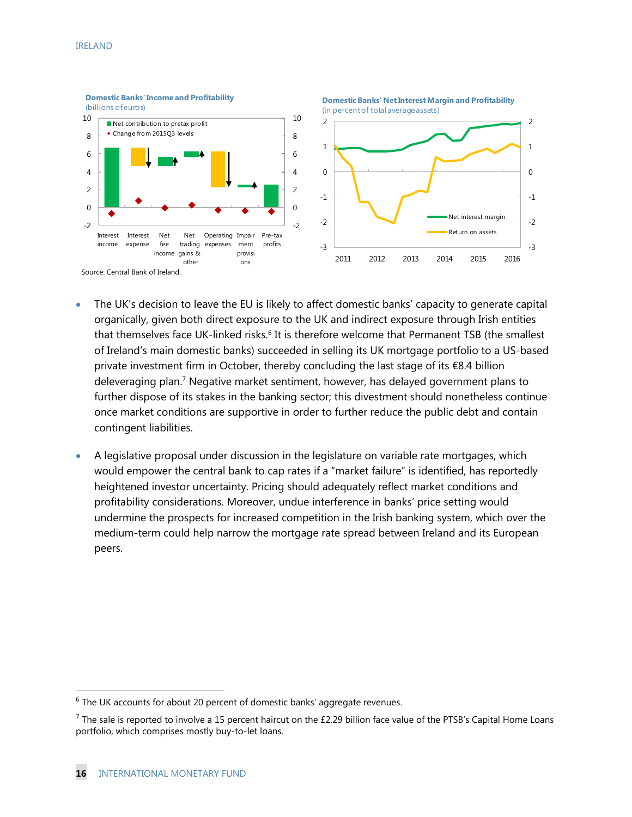

- The UK's decision to leave the EU is likely to affect domestic banks' capacity to generate capital organically, given both direct exposure to the UK and indirect exposure through Irish entities that themselves face UK-linked risks.<sup>6</sup> It is therefore welcome that Permanent TSB (the smallest of Ireland's main domestic banks) succeeded in selling its UK mortgage portfolio to a US-based private investment firm in October, thereby concluding the last stage of its €8.4 billion deleveraging plan.7 Negative market sentiment, however, has delayed government plans to further dispose of its stakes in the banking sector; this divestment should nonetheless continue once market conditions are supportive in order to further reduce the public debt and contain contingent liabilities.
- A legislative proposal under discussion in the legislature on variable rate mortgages, which would empower the central bank to cap rates if a "market failure" is identified, has reportedly heightened investor uncertainty. Pricing should adequately reflect market conditions and profitability considerations. Moreover, undue interference in banks' price setting would undermine the prospects for increased competition in the Irish banking system, which over the medium-term could help narrow the mortgage rate spread between Ireland and its European peers.

-

 $6$  The UK accounts for about 20 percent of domestic banks' aggregate revenues.

 $^7$  The sale is reported to involve a 15 percent haircut on the £2.29 billion face value of the PTSB's Capital Home Loans portfolio, which comprises mostly buy-to-let loans.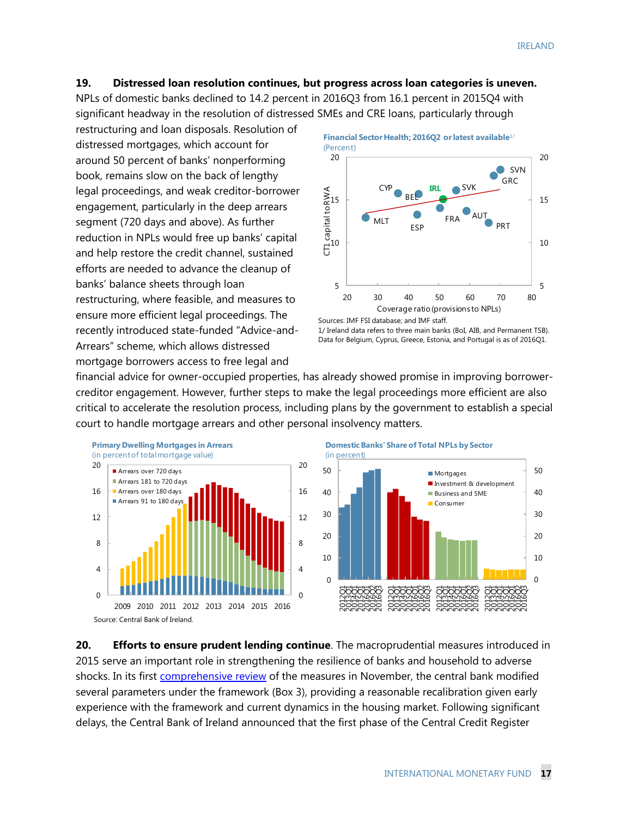#### **19. Distressed loan resolution continues, but progress across loan categories is uneven.**

NPLs of domestic banks declined to 14.2 percent in 2016Q3 from 16.1 percent in 2015Q4 with significant headway in the resolution of distressed SMEs and CRE loans, particularly through

restructuring and loan disposals. Resolution of distressed mortgages, which account for around 50 percent of banks' nonperforming book, remains slow on the back of lengthy legal proceedings, and weak creditor-borrower engagement, particularly in the deep arrears segment (720 days and above). As further reduction in NPLs would free up banks' capital and help restore the credit channel, sustained efforts are needed to advance the cleanup of banks' balance sheets through loan restructuring, where feasible, and measures to ensure more efficient legal proceedings. The recently introduced state-funded "Advice-and-Arrears" scheme, which allows distressed mortgage borrowers access to free legal and



Data for Belgium, Cyprus, Greece, Estonia, and Portugal is as of 2016Q1.

financial advice for owner-occupied properties, has already showed promise in improving borrowercreditor engagement. However, further steps to make the legal proceedings more efficient are also critical to accelerate the resolution process, including plans by the government to establish a special court to handle mortgage arrears and other personal insolvency matters.



**Domestic Banks' Share of Total NPLs by Sector**



**20. Efforts to ensure prudent lending continue**. The macroprudential measures introduced in 2015 serve an important role in strengthening the resilience of banks and household to adverse shocks. In its first comprehensive review of the measures in November, the central bank modified several parameters under the framework (Box 3), providing a reasonable recalibration given early experience with the framework and current dynamics in the housing market. Following significant delays, the Central Bank of Ireland announced that the first phase of the Central Credit Register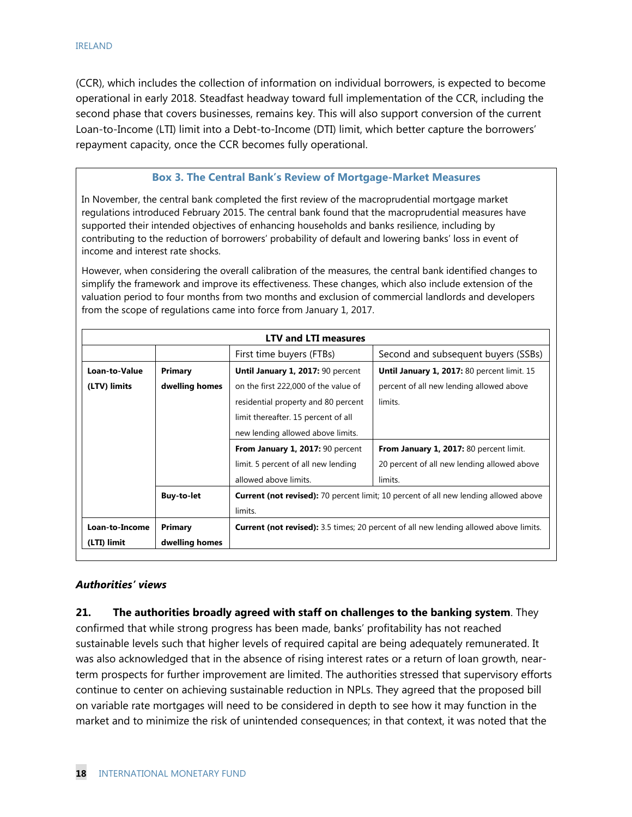(CCR), which includes the collection of information on individual borrowers, is expected to become operational in early 2018. Steadfast headway toward full implementation of the CCR, including the second phase that covers businesses, remains key. This will also support conversion of the current Loan-to-Income (LTI) limit into a Debt-to-Income (DTI) limit, which better capture the borrowers' repayment capacity, once the CCR becomes fully operational.

#### **Box 3. The Central Bank's Review of Mortgage-Market Measures**

In November, the central bank completed the first review of the macroprudential mortgage market regulations introduced February 2015. The central bank found that the macroprudential measures have supported their intended objectives of enhancing households and banks resilience, including by contributing to the reduction of borrowers' probability of default and lowering banks' loss in event of income and interest rate shocks.

However, when considering the overall calibration of the measures, the central bank identified changes to simplify the framework and improve its effectiveness. These changes, which also include extension of the valuation period to four months from two months and exclusion of commercial landlords and developers from the scope of regulations came into force from January 1, 2017.

|                |                   | <b>LTV and LTI measures</b>          |                                                                                              |
|----------------|-------------------|--------------------------------------|----------------------------------------------------------------------------------------------|
|                |                   | First time buyers (FTBs)             | Second and subsequent buyers (SSBs)                                                          |
| Loan-to-Value  | Primary           | Until January 1, 2017: 90 percent    | Until January 1, 2017: 80 percent limit. 15                                                  |
| (LTV) limits   | dwelling homes    | on the first 222,000 of the value of | percent of all new lending allowed above                                                     |
|                |                   | residential property and 80 percent  | limits.                                                                                      |
|                |                   | limit thereafter. 15 percent of all  |                                                                                              |
|                |                   | new lending allowed above limits.    |                                                                                              |
|                |                   | From January 1, 2017: 90 percent     | From January 1, 2017: 80 percent limit.                                                      |
|                |                   | limit. 5 percent of all new lending  | 20 percent of all new lending allowed above                                                  |
|                |                   | allowed above limits.                | limits.                                                                                      |
|                | <b>Buy-to-let</b> |                                      | <b>Current (not revised):</b> 70 percent limit; 10 percent of all new lending allowed above  |
|                |                   | limits.                              |                                                                                              |
| Loan-to-Income | Primary           |                                      | <b>Current (not revised):</b> 3.5 times; 20 percent of all new lending allowed above limits. |
| (LTI) limit    | dwelling homes    |                                      |                                                                                              |

#### *Authorities' views*

**21. The authorities broadly agreed with staff on challenges to the banking system**. They confirmed that while strong progress has been made, banks' profitability has not reached sustainable levels such that higher levels of required capital are being adequately remunerated. It was also acknowledged that in the absence of rising interest rates or a return of loan growth, nearterm prospects for further improvement are limited. The authorities stressed that supervisory efforts continue to center on achieving sustainable reduction in NPLs. They agreed that the proposed bill on variable rate mortgages will need to be considered in depth to see how it may function in the market and to minimize the risk of unintended consequences; in that context, it was noted that the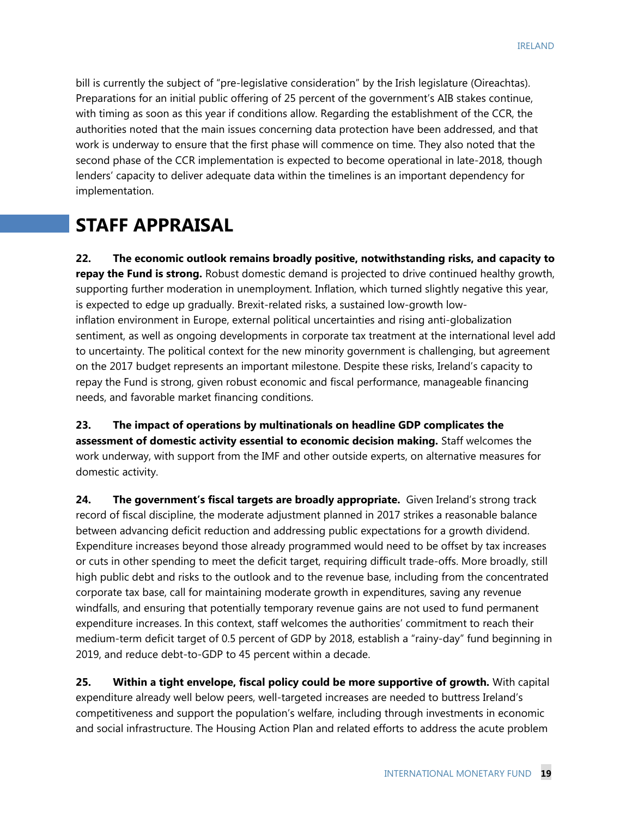bill is currently the subject of "pre-legislative consideration" by the Irish legislature (Oireachtas). Preparations for an initial public offering of 25 percent of the government's AIB stakes continue, with timing as soon as this year if conditions allow. Regarding the establishment of the CCR, the authorities noted that the main issues concerning data protection have been addressed, and that work is underway to ensure that the first phase will commence on time. They also noted that the second phase of the CCR implementation is expected to become operational in late-2018, though lenders' capacity to deliver adequate data within the timelines is an important dependency for implementation.

# **STAFF APPRAISAL**

**22. The economic outlook remains broadly positive, notwithstanding risks, and capacity to repay the Fund is strong.** Robust domestic demand is projected to drive continued healthy growth, supporting further moderation in unemployment. Inflation, which turned slightly negative this year, is expected to edge up gradually. Brexit-related risks, a sustained low-growth lowinflation environment in Europe, external political uncertainties and rising anti-globalization sentiment, as well as ongoing developments in corporate tax treatment at the international level add to uncertainty. The political context for the new minority government is challenging, but agreement on the 2017 budget represents an important milestone. Despite these risks, Ireland's capacity to repay the Fund is strong, given robust economic and fiscal performance, manageable financing needs, and favorable market financing conditions.

**23. The impact of operations by multinationals on headline GDP complicates the assessment of domestic activity essential to economic decision making.** Staff welcomes the work underway, with support from the IMF and other outside experts, on alternative measures for domestic activity.

**24. The government's fiscal targets are broadly appropriate.** Given Ireland's strong track record of fiscal discipline, the moderate adjustment planned in 2017 strikes a reasonable balance between advancing deficit reduction and addressing public expectations for a growth dividend. Expenditure increases beyond those already programmed would need to be offset by tax increases or cuts in other spending to meet the deficit target, requiring difficult trade-offs. More broadly, still high public debt and risks to the outlook and to the revenue base, including from the concentrated corporate tax base, call for maintaining moderate growth in expenditures, saving any revenue windfalls, and ensuring that potentially temporary revenue gains are not used to fund permanent expenditure increases. In this context, staff welcomes the authorities' commitment to reach their medium-term deficit target of 0.5 percent of GDP by 2018, establish a "rainy-day" fund beginning in 2019, and reduce debt-to-GDP to 45 percent within a decade.

**25. Within a tight envelope, fiscal policy could be more supportive of growth.** With capital expenditure already well below peers, well-targeted increases are needed to buttress Ireland's competitiveness and support the population's welfare, including through investments in economic and social infrastructure. The Housing Action Plan and related efforts to address the acute problem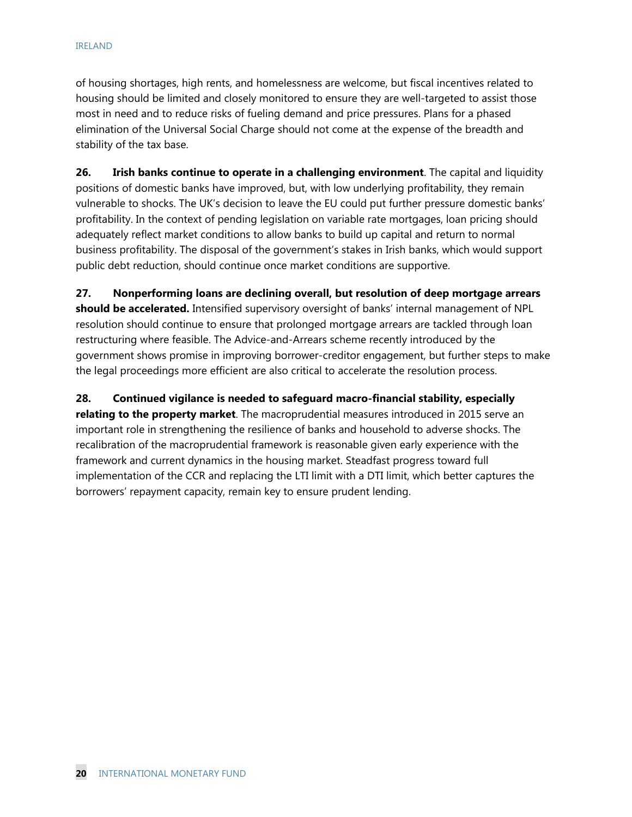of housing shortages, high rents, and homelessness are welcome, but fiscal incentives related to housing should be limited and closely monitored to ensure they are well-targeted to assist those most in need and to reduce risks of fueling demand and price pressures. Plans for a phased elimination of the Universal Social Charge should not come at the expense of the breadth and stability of the tax base.

**26. Irish banks continue to operate in a challenging environment**. The capital and liquidity positions of domestic banks have improved, but, with low underlying profitability, they remain vulnerable to shocks. The UK's decision to leave the EU could put further pressure domestic banks' profitability. In the context of pending legislation on variable rate mortgages, loan pricing should adequately reflect market conditions to allow banks to build up capital and return to normal business profitability. The disposal of the government's stakes in Irish banks, which would support public debt reduction, should continue once market conditions are supportive.

**27. Nonperforming loans are declining overall, but resolution of deep mortgage arrears should be accelerated.** Intensified supervisory oversight of banks' internal management of NPL resolution should continue to ensure that prolonged mortgage arrears are tackled through loan restructuring where feasible. The Advice-and-Arrears scheme recently introduced by the government shows promise in improving borrower-creditor engagement, but further steps to make the legal proceedings more efficient are also critical to accelerate the resolution process.

**28. Continued vigilance is needed to safeguard macro-financial stability, especially relating to the property market**. The macroprudential measures introduced in 2015 serve an important role in strengthening the resilience of banks and household to adverse shocks. The recalibration of the macroprudential framework is reasonable given early experience with the framework and current dynamics in the housing market. Steadfast progress toward full implementation of the CCR and replacing the LTI limit with a DTI limit, which better captures the borrowers' repayment capacity, remain key to ensure prudent lending.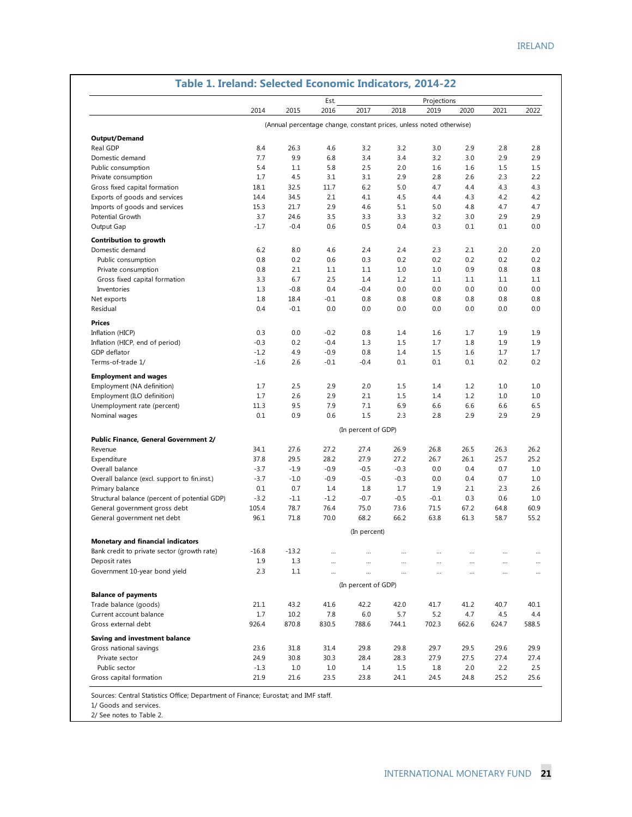|                                               |         |         | Est.                                                                |                     |        | Projections |       |          |          |
|-----------------------------------------------|---------|---------|---------------------------------------------------------------------|---------------------|--------|-------------|-------|----------|----------|
|                                               | 2014    | 2015    | 2016                                                                | 2017                | 2018   | 2019        | 2020  | 2021     | 2022     |
|                                               |         |         | (Annual percentage change, constant prices, unless noted otherwise) |                     |        |             |       |          |          |
| Output/Demand                                 |         |         |                                                                     |                     |        |             |       |          |          |
| Real GDP                                      | 8.4     | 26.3    | 4.6                                                                 | 3.2                 | 3.2    | 3.0         | 2.9   | 2.8      | 2.8      |
| Domestic demand                               | 7.7     | 9.9     | 6.8                                                                 | 3.4                 | 3.4    | 3.2         | 3.0   | 2.9      | 2.9      |
| Public consumption                            | 5.4     | 1.1     | 5.8                                                                 | 2.5                 | 2.0    | 1.6         | 1.6   | 1.5      | 1.5      |
| Private consumption                           | 1.7     | 4.5     | 3.1                                                                 | 3.1                 | 2.9    | 2.8         | 2.6   | 2.3      | 2.2      |
| Gross fixed capital formation                 | 18.1    | 32.5    | 11.7                                                                | 6.2                 | 5.0    | 4.7         | 4.4   | 4.3      | 4.3      |
| Exports of goods and services                 | 14.4    | 34.5    | 2.1                                                                 | 4.1                 | 4.5    | 4.4         | 4.3   | 4.2      | 4.2      |
| Imports of goods and services                 | 15.3    | 21.7    | 2.9                                                                 | 4.6                 | 5.1    | 5.0         | 4.8   | 4.7      | 4.7      |
| Potential Growth                              | 3.7     | 24.6    | 3.5                                                                 | 3.3                 | 3.3    | 3.2         | 3.0   | 2.9      | 2.9      |
| Output Gap                                    | $-1.7$  | $-0.4$  | 0.6                                                                 | 0.5                 | 0.4    | 0.3         | 0.1   | 0.1      | 0.0      |
|                                               |         |         |                                                                     |                     |        |             |       |          |          |
| Contribution to growth                        |         |         |                                                                     |                     |        |             |       |          |          |
| Domestic demand                               | 6.2     | 8.0     | 4.6                                                                 | 2.4                 | 2.4    | 2.3         | 2.1   | 2.0      | 2.0      |
| Public consumption                            | 0.8     | 0.2     | 0.6                                                                 | 0.3                 | 0.2    | 0.2         | 0.2   | 0.2      | 0.2      |
| Private consumption                           | 0.8     | 2.1     | 1.1                                                                 | 1.1                 | 1.0    | 1.0         | 0.9   | 0.8      | 0.8      |
| Gross fixed capital formation                 | 3.3     | 6.7     | 2.5                                                                 | 1.4                 | 1.2    | 1.1         | 1.1   | 1.1      | 1.1      |
| Inventories                                   | 1.3     | $-0.8$  | 0.4                                                                 | $-0.4$              | 0.0    | 0.0         | 0.0   | 0.0      | 0.0      |
| Net exports                                   | 1.8     | 18.4    | $-0.1$                                                              | 0.8                 | 0.8    | 0.8         | 0.8   | 0.8      | 0.8      |
| Residual                                      | 0.4     | $-0.1$  | 0.0                                                                 | 0.0                 | 0.0    | 0.0         | 0.0   | 0.0      | 0.0      |
| <b>Prices</b>                                 |         |         |                                                                     |                     |        |             |       |          |          |
| Inflation (HICP)                              | 0.3     | 0.0     | $-0.2$                                                              | 0.8                 | 1.4    | 1.6         | 1.7   | 1.9      | 1.9      |
| Inflation (HICP, end of period)               | $-0.3$  | 0.2     | $-0.4$                                                              | 1.3                 | 1.5    | 1.7         | 1.8   | 1.9      | 1.9      |
| GDP deflator                                  | $-1.2$  | 4.9     | $-0.9$                                                              | 0.8                 | 1.4    | 1.5         | 1.6   | 1.7      | 1.7      |
| Terms-of-trade 1/                             | $-1.6$  | 2.6     | $-0.1$                                                              | $-0.4$              | 0.1    | 0.1         | 0.1   | 0.2      | 0.2      |
| <b>Employment and wages</b>                   |         |         |                                                                     |                     |        |             |       |          |          |
| Employment (NA definition)                    | 1.7     | 2.5     | 2.9                                                                 | 2.0                 | 1.5    | 1.4         | 1.2   | 1.0      | 1.0      |
| Employment (ILO definition)                   | 1.7     | 2.6     | 2.9                                                                 | 2.1                 | 1.5    | 1.4         | 1.2   | 1.0      | 1.0      |
| Unemployment rate (percent)                   | 11.3    | 9.5     | 7.9                                                                 | 7.1                 | 6.9    | 6.6         | 6.6   | 6.6      | 6.5      |
| Nominal wages                                 | 0.1     | 0.9     | 0.6                                                                 | 1.5                 | 2.3    | 2.8         | 2.9   | 2.9      | 2.9      |
|                                               |         |         |                                                                     |                     |        |             |       |          |          |
|                                               |         |         |                                                                     | (In percent of GDP) |        |             |       |          |          |
| Public Finance, General Government 2/         |         |         |                                                                     |                     |        |             |       |          |          |
| Revenue                                       | 34.1    | 27.6    | 27.2                                                                | 27.4                | 26.9   | 26.8        | 26.5  | 26.3     | 26.2     |
| Expenditure                                   | 37.8    | 29.5    | 28.2                                                                | 27.9                | 27.2   | 26.7        | 26.1  | 25.7     | 25.2     |
| Overall balance                               | $-3.7$  | $-1.9$  | $-0.9$                                                              | $-0.5$              | $-0.3$ | 0.0         | 0.4   | 0.7      | 1.0      |
| Overall balance (excl. support to fin.inst.)  | $-3.7$  | $-1.0$  | $-0.9$                                                              | $-0.5$              | $-0.3$ | 0.0         | 0.4   | 0.7      | 1.0      |
| Primary balance                               | 0.1     | 0.7     | 1.4                                                                 | 1.8                 | 1.7    | 1.9         | 2.1   | 2.3      | 2.6      |
| Structural balance (percent of potential GDP) | $-3.2$  | $-1.1$  | $-1.2$                                                              | $-0.7$              | $-0.5$ | $-0.1$      | 0.3   | 0.6      | 1.0      |
| General government gross debt                 | 105.4   | 78.7    | 76.4                                                                | 75.0                | 73.6   | 71.5        | 67.2  | 64.8     | 60.9     |
| General government net debt                   | 96.1    | 71.8    | 70.0                                                                | 68.2                | 66.2   | 63.8        | 61.3  | 58.7     | 55.2     |
|                                               |         |         |                                                                     | (In percent)        |        |             |       |          |          |
| Monetary and financial indicators             |         |         |                                                                     |                     |        |             |       |          |          |
| Bank credit to private sector (growth rate)   | $-16.8$ | $-13.2$ |                                                                     |                     |        |             |       |          | $\cdots$ |
| Deposit rates                                 | 1.9     | 1.3     | $\cdots$                                                            |                     |        | $\cdots$    |       |          |          |
| Government 10-year bond yield                 | 2.3     | 1.1     |                                                                     |                     |        | $\cdots$    |       | $\cdots$ | $\cdots$ |
|                                               |         |         |                                                                     | (In percent of GDP) |        |             |       |          |          |
| <b>Balance of payments</b>                    |         |         |                                                                     |                     |        |             |       |          |          |
| Trade balance (goods)                         | 21.1    | 43.2    | 41.6                                                                | 42.2                | 42.0   | 41.7        | 41.2  | 40.7     | 40.1     |
| Current account balance                       | 1.7     | 10.2    | 7.8                                                                 | 6.0                 | 5.7    | 5.2         | 4.7   | 4.5      | 4.4      |
| Gross external debt                           | 926.4   | 870.8   | 830.5                                                               | 788.6               | 744.1  | 702.3       | 662.6 | 624.7    | 588.5    |
| Saving and investment balance                 |         |         |                                                                     |                     |        |             |       |          |          |
| Gross national savings                        | 23.6    | 31.8    | 31.4                                                                | 29.8                | 29.8   | 29.7        | 29.5  | 29.6     | 29.9     |
| Private sector                                | 24.9    | 30.8    | 30.3                                                                | 28.4                | 28.3   | 27.9        | 27.5  | 27.4     | 27.4     |
| Public sector                                 | $-1.3$  | 1.0     | 1.0                                                                 | 1.4                 | 1.5    | 1.8         | 2.0   | 2.2      | 2.5      |
| Gross capital formation                       | 21.9    | 21.6    | 23.5                                                                | 23.8                | 24.1   | 24.5        | 24.8  | 25.2     | 25.6     |

#### **Table 1. Ireland: Selected Economic Indicators, 2014-22**

Sources: Central Statistics Office; Department of Finance; Eurostat; and IMF staff.

1/ Goods and services.

2/ See notes to Table 2.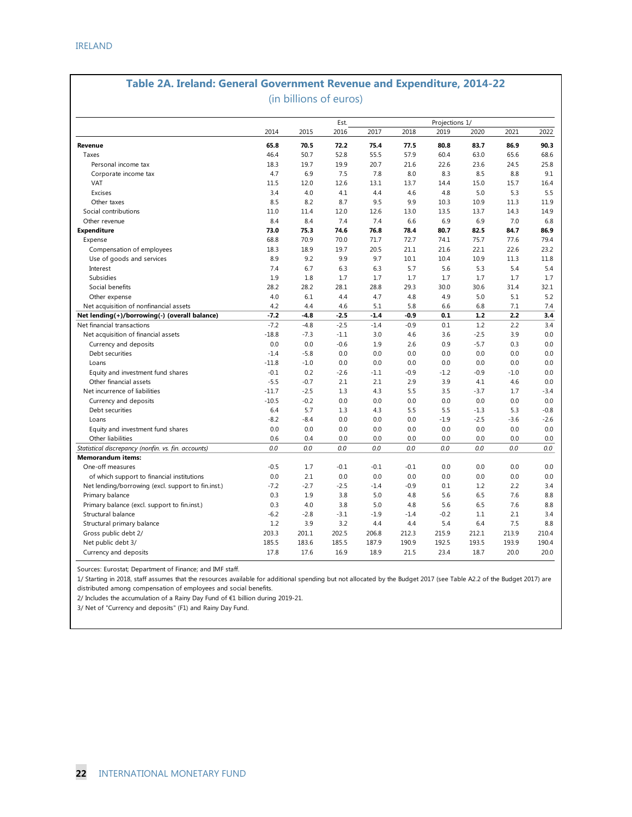#### **Table 2A. Ireland: General Government Revenue and Expenditure, 2014-22**

(in billions of euros)

|                                                     |         |        | Est.   |        |        | Projections 1/ |        |        |        |
|-----------------------------------------------------|---------|--------|--------|--------|--------|----------------|--------|--------|--------|
|                                                     | 2014    | 2015   | 2016   | 2017   | 2018   | 2019           | 2020   | 2021   | 2022   |
| Revenue                                             | 65.8    | 70.5   | 72.2   | 75.4   | 77.5   | 80.8           | 83.7   | 86.9   | 90.3   |
| Taxes                                               | 46.4    | 50.7   | 52.8   | 55.5   | 57.9   | 60.4           | 63.0   | 65.6   | 68.6   |
| Personal income tax                                 | 18.3    | 19.7   | 19.9   | 20.7   | 21.6   | 22.6           | 23.6   | 24.5   | 25.8   |
| Corporate income tax                                | 4.7     | 6.9    | 7.5    | 7.8    | 8.0    | 8.3            | 8.5    | 8.8    | 9.1    |
| VAT                                                 | 11.5    | 12.0   | 12.6   | 13.1   | 13.7   | 14.4           | 15.0   | 15.7   | 16.4   |
| Excises                                             | 3.4     | 4.0    | 4.1    | 4.4    | 4.6    | 4.8            | 5.0    | 5.3    | 5.5    |
| Other taxes                                         | 8.5     | 8.2    | 8.7    | 9.5    | 9.9    | 10.3           | 10.9   | 11.3   | 11.9   |
| Social contributions                                | 11.0    | 11.4   | 12.0   | 12.6   | 13.0   | 13.5           | 13.7   | 14.3   | 14.9   |
| Other revenue                                       | 8.4     | 8.4    | 7.4    | 7.4    | 6.6    | 6.9            | 6.9    | 7.0    | 6.8    |
| <b>Expenditure</b>                                  | 73.0    | 75.3   | 74.6   | 76.8   | 78.4   | 80.7           | 82.5   | 84.7   | 86.9   |
| Expense                                             | 68.8    | 70.9   | 70.0   | 71.7   | 72.7   | 74.1           | 75.7   | 77.6   | 79.4   |
| Compensation of employees                           | 18.3    | 18.9   | 19.7   | 20.5   | 21.1   | 21.6           | 22.1   | 22.6   | 23.2   |
| Use of goods and services                           | 8.9     | 9.2    | 9.9    | 9.7    | 10.1   | 10.4           | 10.9   | 11.3   | 11.8   |
| Interest                                            | 7.4     | 6.7    | 6.3    | 6.3    | 5.7    | 5.6            | 5.3    | 5.4    | 5.4    |
| Subsidies                                           | 1.9     | 1.8    | 1.7    | 1.7    | 1.7    | 1.7            | 1.7    | 1.7    | 1.7    |
| Social benefits                                     | 28.2    | 28.2   | 28.1   | 28.8   | 29.3   | 30.0           | 30.6   | 31.4   | 32.1   |
| Other expense                                       | 4.0     | 6.1    | 4.4    | 4.7    | 4.8    | 4.9            | 5.0    | 5.1    | 5.2    |
| Net acquisition of nonfinancial assets              | 4.2     | 4.4    | 4.6    | 5.1    | 5.8    | 6.6            | 6.8    | 7.1    | 7.4    |
| Net lending(+)/borrowing(-) (overall balance)       | $-7.2$  | $-4.8$ | $-2.5$ | $-1.4$ | $-0.9$ | 0.1            | 1.2    | 2.2    | 3.4    |
| Net financial transactions                          | $-7.2$  | $-4.8$ | $-2.5$ | $-1.4$ | $-0.9$ | 0.1            | 1.2    | 2.2    | 3.4    |
| Net acquisition of financial assets                 | $-18.8$ | $-7.3$ | $-1.1$ | 3.0    | 4.6    | 3.6            | $-2.5$ | 3.9    | 0.0    |
| Currency and deposits                               | 0.0     | 0.0    | $-0.6$ | 1.9    | 2.6    | 0.9            | $-5.7$ | 0.3    | 0.0    |
| Debt securities                                     | $-1.4$  | $-5.8$ | 0.0    | 0.0    | 0.0    | 0.0            | 0.0    | 0.0    | 0.0    |
| Loans                                               | $-11.8$ | $-1.0$ | 0.0    | 0.0    | 0.0    | 0.0            | 0.0    | 0.0    | 0.0    |
| Equity and investment fund shares                   | $-0.1$  | 0.2    | $-2.6$ | $-1.1$ | $-0.9$ | $-1.2$         | $-0.9$ | $-1.0$ | 0.0    |
| Other financial assets                              | $-5.5$  | $-0.7$ | 2.1    | 2.1    | 2.9    | 3.9            | 4.1    | 4.6    | 0.0    |
| Net incurrence of liabilities                       | $-11.7$ | $-2.5$ | 1.3    | 4.3    | 5.5    | 3.5            | $-3.7$ | 1.7    | $-3.4$ |
| Currency and deposits                               | $-10.5$ | $-0.2$ | 0.0    | 0.0    | 0.0    | 0.0            | 0.0    | 0.0    | 0.0    |
| Debt securities                                     | 6.4     | 5.7    | 1.3    | 4.3    | 5.5    | 5.5            | $-1.3$ | 5.3    | $-0.8$ |
| Loans                                               | $-8.2$  | $-8.4$ | 0.0    | 0.0    | 0.0    | $-1.9$         | $-2.5$ | $-3.6$ | $-2.6$ |
| Equity and investment fund shares                   | 0.0     | 0.0    | 0.0    | 0.0    | 0.0    | 0.0            | 0.0    | 0.0    | 0.0    |
| Other liabilities                                   | 0.6     | 0.4    | 0.0    | 0.0    | 0.0    | 0.0            | 0.0    | 0.0    | 0.0    |
| Statistical discrepancy (nonfin. vs. fin. accounts) | 0.0     | 0.0    | 0.0    | 0.0    | 0.0    | 0.0            | 0.0    | 0.0    | 0.0    |
| <b>Memorandum items:</b>                            |         |        |        |        |        |                |        |        |        |
| One-off measures                                    | $-0.5$  | 1.7    | $-0.1$ | $-0.1$ | $-0.1$ | 0.0            | 0.0    | 0.0    | 0.0    |
| of which support to financial institutions          | 0.0     | 2.1    | 0.0    | 0.0    | 0.0    | 0.0            | 0.0    | 0.0    | 0.0    |
| Net lending/borrowing (excl. support to fin.inst.)  | $-7.2$  | $-2.7$ | $-2.5$ | $-1.4$ | $-0.9$ | 0.1            | 1.2    | 2.2    | 3.4    |
| Primary balance                                     | 0.3     | 1.9    | 3.8    | 5.0    | 4.8    | 5.6            | 6.5    | 7.6    | 8.8    |
| Primary balance (excl. support to fin.inst.)        | 0.3     | 4.0    | 3.8    | 5.0    | 4.8    | 5.6            | 6.5    | 7.6    | 8.8    |
| Structural balance                                  | $-6.2$  | $-2.8$ | $-3.1$ | $-1.9$ | $-1.4$ | $-0.2$         | 1.1    | 2.1    | 3.4    |
| Structural primary balance                          | 1.2     | 3.9    | 3.2    | 4.4    | 4.4    | 5.4            | 6.4    | 7.5    | 8.8    |
| Gross public debt 2/                                | 203.3   | 201.1  | 202.5  | 206.8  | 212.3  | 215.9          | 212.1  | 213.9  | 210.4  |
| Net public debt 3/                                  | 185.5   | 183.6  | 185.5  | 187.9  | 190.9  | 192.5          | 193.5  | 193.9  | 190.4  |
| Currency and deposits                               | 17.8    | 17.6   | 16.9   | 18.9   | 21.5   | 23.4           | 18.7   | 20.0   | 20.0   |

Sources: Eurostat; Department of Finance; and IMF staff.

1/ Starting in 2018, staff assumes that the resources available for additional spending but not allocated by the Budget 2017 (see Table A2.2 of the Budget 2017) are distributed among compensation of employees and social benefits.

2/ Includes the accumulation of a Rainy Day Fund of €1 billion during 2019-21.

3/ Net of "Currency and deposits" (F1) and Rainy Day Fund.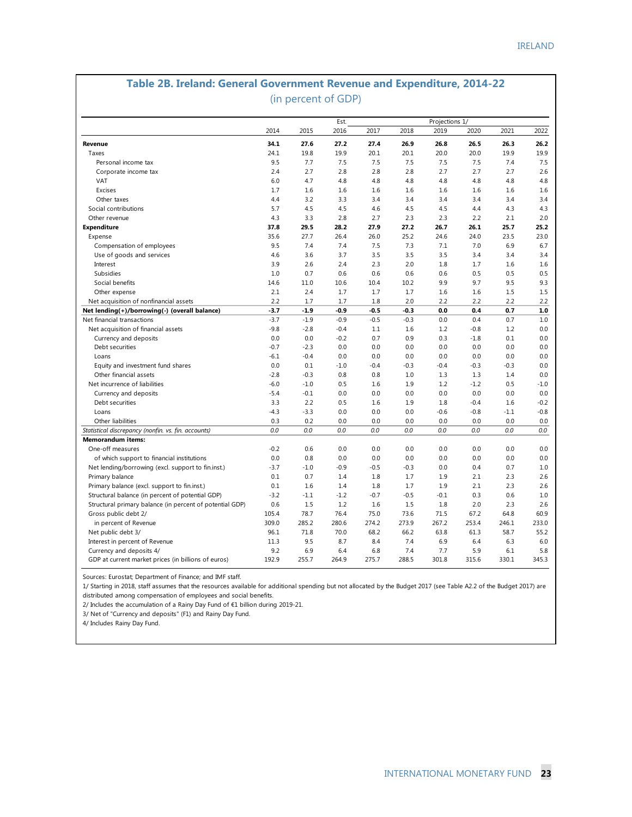#### **Table 2B. Ireland: General Government Revenue and Expenditure, 2014-22**  (in percent of GDP)

|                                                          |        |        | Est.   |        |        | Projections 1/ |        |        |        |
|----------------------------------------------------------|--------|--------|--------|--------|--------|----------------|--------|--------|--------|
|                                                          | 2014   | 2015   | 2016   | 2017   | 2018   | 2019           | 2020   | 2021   | 2022   |
| Revenue                                                  | 34.1   | 27.6   | 27.2   | 27.4   | 26.9   | 26.8           | 26.5   | 26.3   | 26.2   |
| Taxes                                                    | 24.1   | 19.8   | 19.9   | 20.1   | 20.1   | 20.0           | 20.0   | 19.9   | 19.9   |
| Personal income tax                                      | 9.5    | 7.7    | 7.5    | 7.5    | 7.5    | 7.5            | 7.5    | 7.4    | 7.5    |
| Corporate income tax                                     | 2.4    | 2.7    | 2.8    | 2.8    | 2.8    | 2.7            | 2.7    | 2.7    | 2.6    |
| VAT                                                      | 6.0    | 4.7    | 4.8    | 4.8    | 4.8    | 4.8            | 4.8    | 4.8    | 4.8    |
| Excises                                                  | 1.7    | 1.6    | 1.6    | 1.6    | 1.6    | 1.6            | 1.6    | 1.6    | 1.6    |
| Other taxes                                              | 4.4    | 3.2    | 3.3    | 3.4    | 3.4    | 3.4            | 3.4    | 3.4    | 3.4    |
| Social contributions                                     | 5.7    | 4.5    | 4.5    | 4.6    | 4.5    | 4.5            | 4.4    | 4.3    | 4.3    |
| Other revenue                                            | 4.3    | 3.3    | 2.8    | 2.7    | 2.3    | 2.3            | 2.2    | 2.1    | 2.0    |
| <b>Expenditure</b>                                       | 37.8   | 29.5   | 28.2   | 27.9   | 27.2   | 26.7           | 26.1   | 25.7   | 25.2   |
| Expense                                                  | 35.6   | 27.7   | 26.4   | 26.0   | 25.2   | 24.6           | 24.0   | 23.5   | 23.0   |
| Compensation of employees                                | 9.5    | 7.4    | 7.4    | 7.5    | 7.3    | 7.1            | 7.0    | 6.9    | 6.7    |
| Use of goods and services                                | 4.6    | 3.6    | 3.7    | 3.5    | 3.5    | 3.5            | 3.4    | 3.4    | 3.4    |
| Interest                                                 | 3.9    | 2.6    | 2.4    | 2.3    | 2.0    | 1.8            | 1.7    | 1.6    | 1.6    |
| Subsidies                                                | 1.0    | 0.7    | 0.6    | 0.6    | 0.6    | 0.6            | 0.5    | 0.5    | 0.5    |
| Social benefits                                          | 14.6   | 11.0   | 10.6   | 10.4   | 10.2   | 9.9            | 9.7    | 9.5    | 9.3    |
| Other expense                                            | 2.1    | 2.4    | 1.7    | 1.7    | 1.7    | 1.6            | 1.6    | 1.5    | 1.5    |
| Net acquisition of nonfinancial assets                   | 2.2    | 1.7    | 1.7    | 1.8    | 2.0    | 2.2            | 2.2    | 2.2    | 2.2    |
| Net lending(+)/borrowing(-) (overall balance)            | $-3.7$ | $-1.9$ | $-0.9$ | $-0.5$ | $-0.3$ | 0.0            | 0.4    | 0.7    | 1.0    |
| Net financial transactions                               | $-3.7$ | $-1.9$ | $-0.9$ | $-0.5$ | $-0.3$ | 0.0            | 0.4    | 0.7    | 1.0    |
| Net acquisition of financial assets                      | $-9.8$ | $-2.8$ | $-0.4$ | 1.1    | 1.6    | 1.2            | $-0.8$ | 1.2    | 0.0    |
| Currency and deposits                                    | 0.0    | 0.0    | $-0.2$ | 0.7    | 0.9    | 0.3            | $-1.8$ | 0.1    | 0.0    |
| Debt securities                                          | $-0.7$ | $-2.3$ | 0.0    | 0.0    | 0.0    | 0.0            | 0.0    | 0.0    | 0.0    |
| Loans                                                    | $-6.1$ | $-0.4$ | 0.0    | 0.0    | 0.0    | 0.0            | 0.0    | 0.0    | 0.0    |
| Equity and investment fund shares                        | 0.0    | 0.1    | $-1.0$ | $-0.4$ | $-0.3$ | $-0.4$         | $-0.3$ | $-0.3$ | 0.0    |
| Other financial assets                                   | $-2.8$ | $-0.3$ | 0.8    | 0.8    | 1.0    | 1.3            | 1.3    | 1.4    | 0.0    |
| Net incurrence of liabilities                            | $-6.0$ | $-1.0$ | 0.5    | 1.6    | 1.9    | 1.2            | $-1.2$ | 0.5    | $-1.0$ |
| Currency and deposits                                    | $-5.4$ | $-0.1$ | 0.0    | 0.0    | 0.0    | 0.0            | 0.0    | 0.0    | 0.0    |
| Debt securities                                          | 3.3    | 2.2    | 0.5    | 1.6    | 1.9    | 1.8            | $-0.4$ | 1.6    | $-0.2$ |
| Loans                                                    | $-4.3$ | $-3.3$ | 0.0    | 0.0    | 0.0    | $-0.6$         | $-0.8$ | $-1.1$ | $-0.8$ |
| Other liabilities                                        | 0.3    | 0.2    | 0.0    | 0.0    | 0.0    | 0.0            | 0.0    | 0.0    | 0.0    |
| Statistical discrepancy (nonfin. vs. fin. accounts)      | 0.0    | 0.0    | 0.0    | 0.0    | 0.0    | 0.0            | 0.0    | 0.0    | 0.0    |
| <b>Memorandum items:</b>                                 |        |        |        |        |        |                |        |        |        |
| One-off measures                                         | $-0.2$ | 0.6    | 0.0    | 0.0    | 0.0    | 0.0            | 0.0    | 0.0    | 0.0    |
| of which support to financial institutions               | 0.0    | 0.8    | 0.0    | 0.0    | 0.0    | 0.0            | 0.0    | 0.0    | 0.0    |
| Net lending/borrowing (excl. support to fin.inst.)       | $-3.7$ | $-1.0$ | $-0.9$ | $-0.5$ | $-0.3$ | 0.0            | 0.4    | 0.7    | 1.0    |
| Primary balance                                          | 0.1    | 0.7    | 1.4    | 1.8    | 1.7    | 1.9            | 2.1    | 2.3    | 2.6    |
| Primary balance (excl. support to fin.inst.)             | 0.1    | 1.6    | 1.4    | 1.8    | 1.7    | 1.9            | 2.1    | 2.3    | 2.6    |
| Structural balance (in percent of potential GDP)         | $-3.2$ | $-1.1$ | $-1.2$ | $-0.7$ | $-0.5$ | $-0.1$         | 0.3    | 0.6    | 1.0    |
| Structural primary balance (in percent of potential GDP) | 0.6    | 1.5    | 1.2    | 1.6    | 1.5    | 1.8            | 2.0    | 2.3    | 2.6    |
| Gross public debt 2/                                     | 105.4  | 78.7   | 76.4   | 75.0   | 73.6   | 71.5           | 67.2   | 64.8   | 60.9   |
| in percent of Revenue                                    | 309.0  | 285.2  | 280.6  | 274.2  | 273.9  | 267.2          | 253.4  | 246.1  | 233.0  |
| Net public debt 3/                                       | 96.1   | 71.8   | 70.0   | 68.2   | 66.2   | 63.8           | 61.3   | 58.7   | 55.2   |
| Interest in percent of Revenue                           | 11.3   | 9.5    | 8.7    | 8.4    | 7.4    | 6.9            | 6.4    | 6.3    | 6.0    |
| Currency and deposits 4/                                 | 9.2    | 6.9    | 6.4    | 6.8    | 7.4    | 7.7            | 5.9    | 6.1    | 5.8    |
|                                                          |        |        |        |        |        |                |        |        |        |

Sources: Eurostat; Department of Finance; and IMF staff.

1/ Starting in 2018, staff assumes that the resources available for additional spending but not allocated by the Budget 2017 (see Table A2.2 of the Budget 2017) are distributed among compensation of employees and social benefits.

2/ Includes the accumulation of a Rainy Day Fund of €1 billion during 2019-21.

3/ Net of "Currency and deposits" (F1) and Rainy Day Fund.

4/ Includes Rainy Day Fund.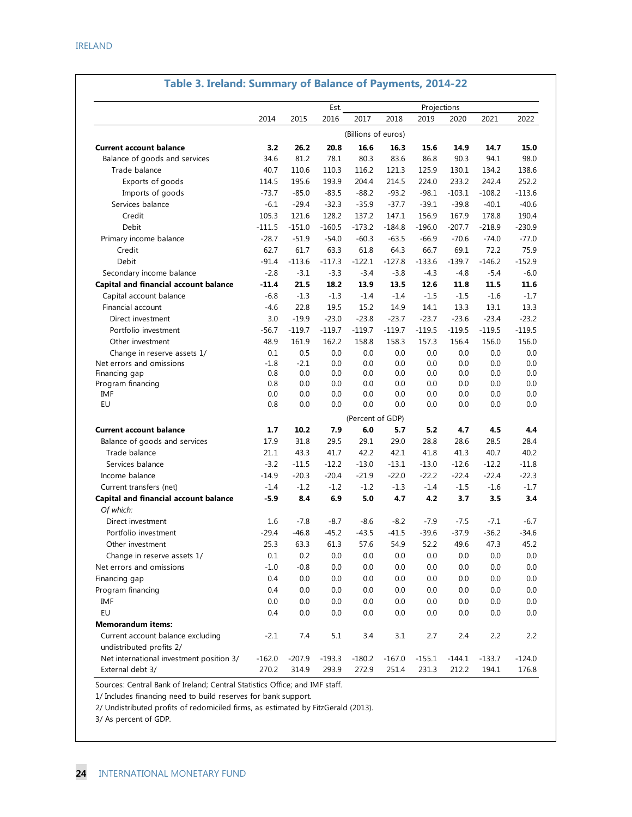|                                                               |          |          | Est.     | Projections         |          |          |          |          |          |  |  |  |
|---------------------------------------------------------------|----------|----------|----------|---------------------|----------|----------|----------|----------|----------|--|--|--|
|                                                               | 2014     | 2015     | 2016     | 2017                | 2018     | 2019     | 2020     | 2021     | 2022     |  |  |  |
|                                                               |          |          |          | (Billions of euros) |          |          |          |          |          |  |  |  |
| <b>Current account balance</b>                                | 3.2      | 26.2     | 20.8     | 16.6                | 16.3     | 15.6     | 14.9     | 14.7     | 15.0     |  |  |  |
| Balance of goods and services                                 | 34.6     | 81.2     | 78.1     | 80.3                | 83.6     | 86.8     | 90.3     | 94.1     | 98.0     |  |  |  |
| Trade balance                                                 | 40.7     | 110.6    | 110.3    | 116.2               | 121.3    | 125.9    | 130.1    | 134.2    | 138.6    |  |  |  |
| Exports of goods                                              | 114.5    | 195.6    | 193.9    | 204.4               | 214.5    | 224.0    | 233.2    | 242.4    | 252.2    |  |  |  |
| Imports of goods                                              | $-73.7$  | $-85.0$  | $-83.5$  | $-88.2$             | $-93.2$  | $-98.1$  | $-103.1$ | $-108.2$ | $-113.6$ |  |  |  |
| Services balance                                              | $-6.1$   | $-29.4$  | $-32.3$  | $-35.9$             | $-37.7$  | $-39.1$  | $-39.8$  | $-40.1$  | $-40.6$  |  |  |  |
| Credit                                                        | 105.3    | 121.6    | 128.2    | 137.2               | 147.1    | 156.9    | 167.9    | 178.8    | 190.4    |  |  |  |
| Debit                                                         | $-111.5$ | $-151.0$ | $-160.5$ | $-173.2$            | $-184.8$ | $-196.0$ | $-207.7$ | $-218.9$ | $-230.9$ |  |  |  |
| Primary income balance                                        | $-28.7$  | $-51.9$  | $-54.0$  | $-60.3$             | $-63.5$  | $-66.9$  | $-70.6$  | $-74.0$  | $-77.0$  |  |  |  |
| Credit                                                        | 62.7     | 61.7     | 63.3     | 61.8                | 64.3     | 66.7     | 69.1     | 72.2     | 75.9     |  |  |  |
| Debit                                                         | $-91.4$  | $-113.6$ | $-117.3$ | $-122.1$            | $-127.8$ | $-133.6$ | $-139.7$ | $-146.2$ | $-152.9$ |  |  |  |
| Secondary income balance                                      | $-2.8$   | $-3.1$   | $-3.3$   | $-3.4$              | $-3.8$   | $-4.3$   | $-4.8$   | $-5.4$   | $-6.0$   |  |  |  |
| Capital and financial account balance                         | $-11.4$  | 21.5     | 18.2     | 13.9                | 13.5     | 12.6     | 11.8     | 11.5     | 11.6     |  |  |  |
| Capital account balance                                       | $-6.8$   | $-1.3$   | $-1.3$   | $-1.4$              | $-1.4$   | $-1.5$   | $-1.5$   | $-1.6$   | $-1.7$   |  |  |  |
| Financial account                                             | $-4.6$   | 22.8     | 19.5     | 15.2                | 14.9     | 14.1     | 13.3     | 13.1     | 13.3     |  |  |  |
| Direct investment                                             | 3.0      | $-19.9$  | $-23.0$  | $-23.8$             | $-23.7$  | $-23.7$  | $-23.6$  | $-23.4$  | $-23.2$  |  |  |  |
| Portfolio investment                                          | $-56.7$  | $-119.7$ | $-119.7$ | $-119.7$            | $-119.7$ | $-119.5$ | $-119.5$ | $-119.5$ | $-119.5$ |  |  |  |
| Other investment                                              | 48.9     | 161.9    | 162.2    | 158.8               | 158.3    | 157.3    | 156.4    | 156.0    | 156.0    |  |  |  |
| Change in reserve assets 1/                                   | 0.1      | 0.5      | 0.0      | 0.0                 | 0.0      | 0.0      | 0.0      | 0.0      | 0.0      |  |  |  |
| Net errors and omissions                                      | $-1.8$   | $-2.1$   | 0.0      | 0.0                 | 0.0      | 0.0      | 0.0      | 0.0      | 0.0      |  |  |  |
| Financing gap                                                 | 0.8      | 0.0      | 0.0      | 0.0                 | 0.0      | 0.0      | 0.0      | 0.0      | 0.0      |  |  |  |
| Program financing                                             | 0.8      | 0.0      | 0.0      | 0.0                 | 0.0      | 0.0      | 0.0      | 0.0      | 0.0      |  |  |  |
| IMF                                                           | 0.0      | 0.0      | 0.0      | 0.0                 | 0.0      | 0.0      | 0.0      | 0.0      | 0.0      |  |  |  |
| EU                                                            | 0.8      | 0.0      | 0.0      | 0.0                 | 0.0      | 0.0      | 0.0      | 0.0      | 0.0      |  |  |  |
|                                                               |          |          |          | (Percent of GDP)    |          |          |          |          |          |  |  |  |
| <b>Current account balance</b>                                | 1.7      | 10.2     | 7.9      | 6.0                 | 5.7      | 5.2      | 4.7      | 4.5      | 4.4      |  |  |  |
| Balance of goods and services                                 | 17.9     | 31.8     | 29.5     | 29.1                | 29.0     | 28.8     | 28.6     | 28.5     | 28.4     |  |  |  |
| Trade balance                                                 | 21.1     | 43.3     | 41.7     | 42.2                | 42.1     | 41.8     | 41.3     | 40.7     | 40.2     |  |  |  |
| Services balance                                              | $-3.2$   | $-11.5$  | $-12.2$  | $-13.0$             | $-13.1$  | $-13.0$  | $-12.6$  | $-12.2$  | $-11.8$  |  |  |  |
| Income balance                                                | $-14.9$  | $-20.3$  | $-20.4$  | $-21.9$             | $-22.0$  | $-22.2$  | $-22.4$  | $-22.4$  | $-22.3$  |  |  |  |
| Current transfers (net)                                       | $-1.4$   | $-1.2$   | $-1.2$   | $-1.2$              | $-1.3$   | $-1.4$   | $-1.5$   | $-1.6$   | $-1.7$   |  |  |  |
| Capital and financial account balance                         | $-5.9$   | 8.4      | 6.9      | 5.0                 | 4.7      | 4.2      | 3.7      | 3.5      | 3.4      |  |  |  |
| Of which:                                                     |          |          |          |                     |          |          |          |          |          |  |  |  |
| Direct investment                                             | 1.6      | $-7.8$   | $-8.7$   | $-8.6$              | $-8.2$   | $-7.9$   | $-7.5$   | $-7.1$   | $-6.7$   |  |  |  |
| Portfolio investment                                          | $-29.4$  | $-46.8$  | $-45.2$  | $-43.5$             | $-41.5$  | $-39.6$  | $-37.9$  | $-36.2$  | $-34.6$  |  |  |  |
| Other investment                                              | 25.3     | 63.3     | 61.3     | 57.6                | 54.9     | 52.2     | 49.6     | 47.3     | 45.2     |  |  |  |
| Change in reserve assets 1/                                   | 0.1      | 0.2      | 0.0      | 0.0                 | 0.0      | 0.0      | 0.0      | 0.0      | 0.0      |  |  |  |
| Net errors and omissions                                      | $-1.0$   | $-0.8$   | 0.0      | 0.0                 | 0.0      | 0.0      | 0.0      | 0.0      | 0.0      |  |  |  |
| Financing gap                                                 | 0.4      | 0.0      | 0.0      | 0.0                 | 0.0      | 0.0      | 0.0      | 0.0      | 0.0      |  |  |  |
| Program financing                                             | 0.4      | 0.0      | 0.0      | 0.0                 | 0.0      | 0.0      | 0.0      | 0.0      | 0.0      |  |  |  |
| IMF                                                           | 0.0      | 0.0      | 0.0      | 0.0                 | 0.0      | 0.0      | 0.0      | 0.0      | 0.0      |  |  |  |
| EU                                                            | 0.4      | 0.0      | 0.0      | 0.0                 | 0.0      | 0.0      | 0.0      | 0.0      | 0.0      |  |  |  |
| <b>Memorandum items:</b>                                      |          |          |          |                     |          |          |          |          |          |  |  |  |
| Current account balance excluding<br>undistributed profits 2/ | $-2.1$   | 7.4      | 5.1      | 3.4                 | 3.1      | 2.7      | 2.4      | 2.2      | 2.2      |  |  |  |
| Net international investment position 3/                      | $-162.0$ | $-207.9$ | $-193.3$ | $-180.2$            | $-167.0$ | $-155.1$ | $-144.1$ | $-133.7$ | $-124.0$ |  |  |  |
| External debt 3/                                              | 270.2    | 314.9    | 293.9    | 272.9               | 251.4    | 231.3    | 212.2    | 194.1    | 176.8    |  |  |  |

### **Table 3. Ireland: Summary of Balance of Payments, 2014-22**

Sources: Central Bank of Ireland; Central Statistics Office; and IMF staff.

1/ Includes financing need to build reserves for bank support.

2/ Undistributed profits of redomiciled firms, as estimated by FitzGerald (2013).

3/ As percent of GDP.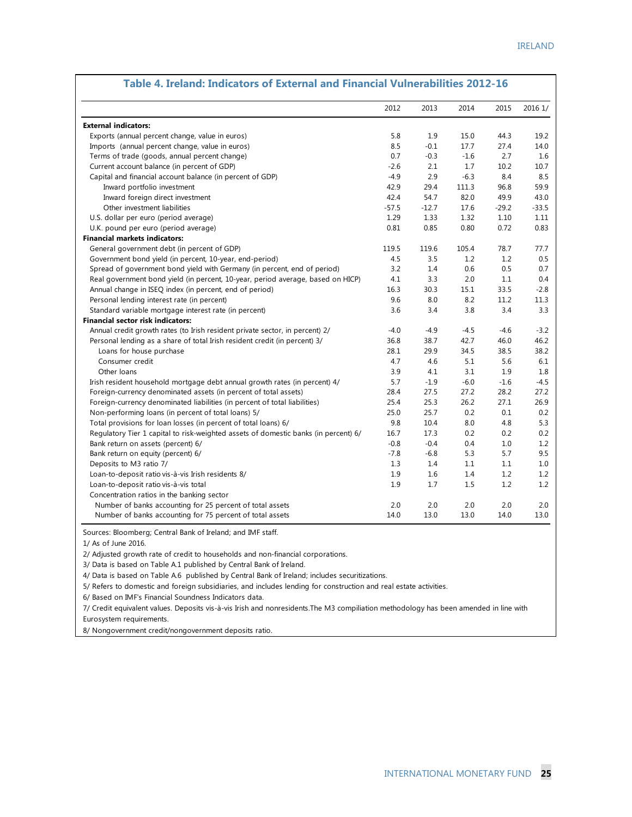|                                                                                     | 2012    | 2013    | 2014   | 2015    | 2016 1/ |
|-------------------------------------------------------------------------------------|---------|---------|--------|---------|---------|
| <b>External indicators:</b>                                                         |         |         |        |         |         |
| Exports (annual percent change, value in euros)                                     | 5.8     | 1.9     | 15.0   | 44.3    | 19.2    |
| Imports (annual percent change, value in euros)                                     | 8.5     | $-0.1$  | 17.7   | 27.4    | 14.0    |
| Terms of trade (goods, annual percent change)                                       | 0.7     | $-0.3$  | $-1.6$ | 2.7     | 1.6     |
| Current account balance (in percent of GDP)                                         | $-2.6$  | 2.1     | 1.7    | 10.2    | 10.7    |
| Capital and financial account balance (in percent of GDP)                           | $-4.9$  | 2.9     | $-6.3$ | 8.4     | 8.5     |
| Inward portfolio investment                                                         | 42.9    | 29.4    | 111.3  | 96.8    | 59.9    |
| Inward foreign direct investment                                                    | 42.4    | 54.7    | 82.0   | 49.9    | 43.0    |
| Other investment liabilities                                                        | $-57.5$ | $-12.7$ | 17.6   | $-29.2$ | $-33.5$ |
| U.S. dollar per euro (period average)                                               | 1.29    | 1.33    | 1.32   | 1.10    | 1.11    |
| U.K. pound per euro (period average)                                                | 0.81    | 0.85    | 0.80   | 0.72    | 0.83    |
| <b>Financial markets indicators:</b>                                                |         |         |        |         |         |
| General government debt (in percent of GDP)                                         | 119.5   | 119.6   | 105.4  | 78.7    | 77.7    |
| Government bond yield (in percent, 10-year, end-period)                             | 4.5     | 3.5     | 1.2    | 1.2     | 0.5     |
| Spread of government bond yield with Germany (in percent, end of period)            | 3.2     | 1.4     | 0.6    | 0.5     | 0.7     |
| Real government bond yield (in percent, 10-year, period average, based on HICP)     | 4.1     | 3.3     | 2.0    | 1.1     | 0.4     |
| Annual change in ISEQ index (in percent, end of period)                             | 16.3    | 30.3    | 15.1   | 33.5    | $-2.8$  |
| Personal lending interest rate (in percent)                                         | 9.6     | 8.0     | 8.2    | 11.2    | 11.3    |
| Standard variable mortgage interest rate (in percent)                               | 3.6     | 3.4     | 3.8    | 3.4     | 3.3     |
| <b>Financial sector risk indicators:</b>                                            |         |         |        |         |         |
| Annual credit growth rates (to Irish resident private sector, in percent) 2/        | $-4.0$  | $-4.9$  | $-4.5$ | $-4.6$  | $-3.2$  |
| Personal lending as a share of total Irish resident credit (in percent) 3/          | 36.8    | 38.7    | 42.7   | 46.0    | 46.2    |
| Loans for house purchase                                                            | 28.1    | 29.9    | 34.5   | 38.5    | 38.2    |
| Consumer credit                                                                     | 4.7     | 4.6     | 5.1    | 5.6     | 6.1     |
| Other loans                                                                         | 3.9     | 4.1     | 3.1    | 1.9     | 1.8     |
| Irish resident household mortgage debt annual growth rates (in percent) 4/          | 5.7     | $-1.9$  | $-6.0$ | $-1.6$  | $-4.5$  |
| Foreign-currency denominated assets (in percent of total assets)                    | 28.4    | 27.5    | 27.2   | 28.2    | 27.2    |
| Foreign-currency denominated liabilities (in percent of total liabilities)          | 25.4    | 25.3    | 26.2   | 27.1    | 26.9    |
| Non-performing loans (in percent of total loans) 5/                                 | 25.0    | 25.7    | 0.2    | 0.1     | 0.2     |
| Total provisions for loan losses (in percent of total loans) 6/                     | 9.8     | 10.4    | 8.0    | 4.8     | 5.3     |
| Requlatory Tier 1 capital to risk-weighted assets of domestic banks (in percent) 6/ | 16.7    | 17.3    | 0.2    | 0.2     | 0.2     |
| Bank return on assets (percent) 6/                                                  | $-0.8$  | $-0.4$  | 0.4    | 1.0     | 1.2     |
| Bank return on equity (percent) 6/                                                  | $-7.8$  | $-6.8$  | 5.3    | 5.7     | 9.5     |
| Deposits to M3 ratio 7/                                                             | 1.3     | 1.4     | 1.1    | 1.1     | 1.0     |
| Loan-to-deposit ratio vis-à-vis Irish residents 8/                                  | 1.9     | 1.6     | 1.4    | 1.2     | 1.2     |
| Loan-to-deposit ratio vis-à-vis total                                               | 1.9     | 1.7     | 1.5    | 1.2     | 1.2     |
| Concentration ratios in the banking sector                                          |         |         |        |         |         |
| Number of banks accounting for 25 percent of total assets                           | 2.0     | 2.0     | 2.0    | 2.0     | 2.0     |
| Number of banks accounting for 75 percent of total assets                           | 14.0    | 13.0    | 13.0   | 14.0    | 13.0    |

#### **Table 4. Ireland: Indicators of External and Financial Vulnerabilities 2012-16**

Sources: Bloomberg; Central Bank of Ireland; and IMF staff.

1/ As of June 2016.

2/ Adjusted growth rate of credit to households and non-financial corporations.

3/ Data is based on Table A.1 published by Central Bank of Ireland.

4/ Data is based on Table A.6 published by Central Bank of Ireland; includes securitizations.

5/ Refers to domestic and foreign subsidiaries, and includes lending for construction and real estate activities.

6/ Based on IMF's Financial Soundness Indicators data.

7/ Credit equivalent values. Deposits vis-à-vis Irish and nonresidents.The M3 compiliation methodology has been amended in line with Eurosystem requirements.

8/ Nongovernment credit/nongovernment deposits ratio.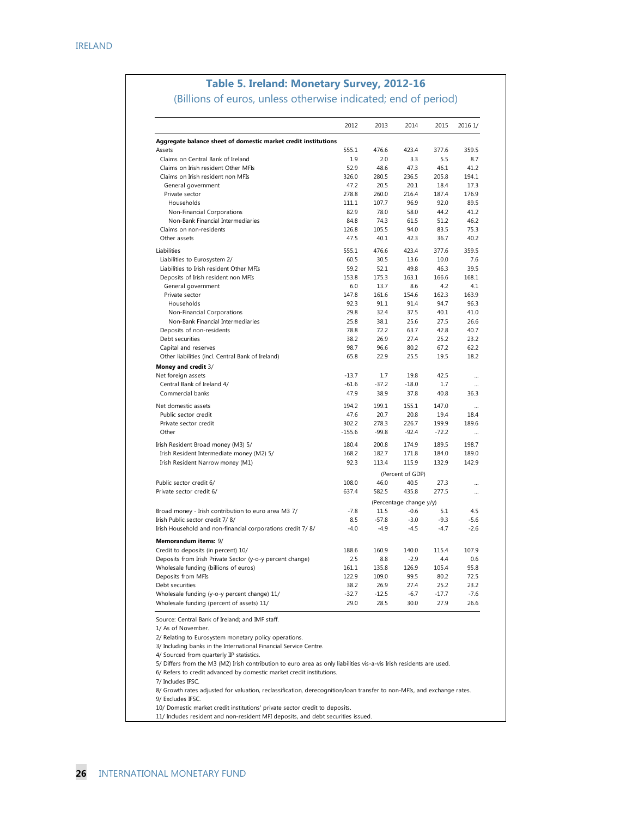### **Table 5. Ireland: Monetary Survey, 2012-16**

(Billions of euros, unless otherwise indicated; end of period)

| 555.1<br>1.9<br>52.9<br>326.0<br>47.2<br>278.8<br>111.1<br>82.9<br>84.8<br>126.8<br>47.5<br>555.1<br>60.5<br>59.2<br>153.8<br>6.0<br>147.8<br>92.3<br>29.8<br>25.8<br>78.8<br>38.2<br>98.7<br>65.8<br>$-13.7$<br>$-61.6$<br>47.9 | 476.6<br>2.0<br>48.6<br>280.5<br>20.5<br>260.0<br>107.7<br>78.0<br>74.3<br>105.5<br>40.1<br>476.6<br>30.5<br>52.1<br>175.3<br>13.7<br>161.6<br>91.1<br>32.4<br>38.1<br>72.2<br>26.9<br>96.6<br>22.9<br>1.7<br>$-37.2$<br>38.9 | 423.4<br>3.3<br>47.3<br>236.5<br>20.1<br>216.4<br>96.9<br>58.0<br>61.5<br>94.0<br>42.3<br>423.4<br>13.6<br>49.8<br>163.1<br>8.6<br>154.6<br>91.4<br>37.5<br>25.6<br>63.7<br>27.4<br>80.2<br>25.5<br>19.8<br>$-18.0$ | 377.6<br>5.5<br>46.1<br>205.8<br>18.4<br>187.4<br>92.0<br>44.2<br>51.2<br>83.5<br>36.7<br>377.6<br>10.0<br>46.3<br>166.6<br>4.2<br>162.3<br>94.7<br>40.1<br>27.5<br>42.8<br>25.2<br>67.2<br>19.5<br>42.5 | 359.5<br>8.7<br>41.2<br>194.1<br>17.3<br>176.9<br>89.5<br>41.2<br>46.2<br>75.3<br>40.2<br>359.5<br>7.6<br>39.5<br>168.1<br>4.1<br>163.9<br>96.3<br>41.0<br>26.6<br>40.7<br>23.2<br>62.2<br>18.2 |
|----------------------------------------------------------------------------------------------------------------------------------------------------------------------------------------------------------------------------------|-------------------------------------------------------------------------------------------------------------------------------------------------------------------------------------------------------------------------------|---------------------------------------------------------------------------------------------------------------------------------------------------------------------------------------------------------------------|----------------------------------------------------------------------------------------------------------------------------------------------------------------------------------------------------------|-------------------------------------------------------------------------------------------------------------------------------------------------------------------------------------------------|
|                                                                                                                                                                                                                                  |                                                                                                                                                                                                                               |                                                                                                                                                                                                                     |                                                                                                                                                                                                          |                                                                                                                                                                                                 |
|                                                                                                                                                                                                                                  |                                                                                                                                                                                                                               |                                                                                                                                                                                                                     |                                                                                                                                                                                                          |                                                                                                                                                                                                 |
|                                                                                                                                                                                                                                  |                                                                                                                                                                                                                               |                                                                                                                                                                                                                     |                                                                                                                                                                                                          |                                                                                                                                                                                                 |
|                                                                                                                                                                                                                                  |                                                                                                                                                                                                                               |                                                                                                                                                                                                                     |                                                                                                                                                                                                          |                                                                                                                                                                                                 |
|                                                                                                                                                                                                                                  |                                                                                                                                                                                                                               |                                                                                                                                                                                                                     |                                                                                                                                                                                                          |                                                                                                                                                                                                 |
|                                                                                                                                                                                                                                  |                                                                                                                                                                                                                               |                                                                                                                                                                                                                     |                                                                                                                                                                                                          |                                                                                                                                                                                                 |
|                                                                                                                                                                                                                                  |                                                                                                                                                                                                                               |                                                                                                                                                                                                                     |                                                                                                                                                                                                          |                                                                                                                                                                                                 |
|                                                                                                                                                                                                                                  |                                                                                                                                                                                                                               |                                                                                                                                                                                                                     |                                                                                                                                                                                                          |                                                                                                                                                                                                 |
|                                                                                                                                                                                                                                  |                                                                                                                                                                                                                               |                                                                                                                                                                                                                     |                                                                                                                                                                                                          |                                                                                                                                                                                                 |
|                                                                                                                                                                                                                                  |                                                                                                                                                                                                                               |                                                                                                                                                                                                                     |                                                                                                                                                                                                          |                                                                                                                                                                                                 |
|                                                                                                                                                                                                                                  |                                                                                                                                                                                                                               |                                                                                                                                                                                                                     |                                                                                                                                                                                                          |                                                                                                                                                                                                 |
|                                                                                                                                                                                                                                  |                                                                                                                                                                                                                               |                                                                                                                                                                                                                     |                                                                                                                                                                                                          |                                                                                                                                                                                                 |
|                                                                                                                                                                                                                                  |                                                                                                                                                                                                                               |                                                                                                                                                                                                                     |                                                                                                                                                                                                          |                                                                                                                                                                                                 |
|                                                                                                                                                                                                                                  |                                                                                                                                                                                                                               |                                                                                                                                                                                                                     |                                                                                                                                                                                                          |                                                                                                                                                                                                 |
|                                                                                                                                                                                                                                  |                                                                                                                                                                                                                               |                                                                                                                                                                                                                     |                                                                                                                                                                                                          |                                                                                                                                                                                                 |
|                                                                                                                                                                                                                                  |                                                                                                                                                                                                                               |                                                                                                                                                                                                                     |                                                                                                                                                                                                          |                                                                                                                                                                                                 |
|                                                                                                                                                                                                                                  |                                                                                                                                                                                                                               |                                                                                                                                                                                                                     |                                                                                                                                                                                                          |                                                                                                                                                                                                 |
|                                                                                                                                                                                                                                  |                                                                                                                                                                                                                               |                                                                                                                                                                                                                     |                                                                                                                                                                                                          |                                                                                                                                                                                                 |
|                                                                                                                                                                                                                                  |                                                                                                                                                                                                                               |                                                                                                                                                                                                                     |                                                                                                                                                                                                          |                                                                                                                                                                                                 |
|                                                                                                                                                                                                                                  |                                                                                                                                                                                                                               |                                                                                                                                                                                                                     |                                                                                                                                                                                                          |                                                                                                                                                                                                 |
|                                                                                                                                                                                                                                  |                                                                                                                                                                                                                               |                                                                                                                                                                                                                     |                                                                                                                                                                                                          |                                                                                                                                                                                                 |
|                                                                                                                                                                                                                                  |                                                                                                                                                                                                                               |                                                                                                                                                                                                                     |                                                                                                                                                                                                          |                                                                                                                                                                                                 |
|                                                                                                                                                                                                                                  |                                                                                                                                                                                                                               |                                                                                                                                                                                                                     |                                                                                                                                                                                                          |                                                                                                                                                                                                 |
|                                                                                                                                                                                                                                  |                                                                                                                                                                                                                               |                                                                                                                                                                                                                     |                                                                                                                                                                                                          |                                                                                                                                                                                                 |
|                                                                                                                                                                                                                                  |                                                                                                                                                                                                                               |                                                                                                                                                                                                                     |                                                                                                                                                                                                          |                                                                                                                                                                                                 |
|                                                                                                                                                                                                                                  |                                                                                                                                                                                                                               |                                                                                                                                                                                                                     |                                                                                                                                                                                                          |                                                                                                                                                                                                 |
|                                                                                                                                                                                                                                  |                                                                                                                                                                                                                               |                                                                                                                                                                                                                     | 1.7<br>40.8                                                                                                                                                                                              |                                                                                                                                                                                                 |
|                                                                                                                                                                                                                                  |                                                                                                                                                                                                                               | 37.8                                                                                                                                                                                                                |                                                                                                                                                                                                          | 36.3                                                                                                                                                                                            |
| 194.2                                                                                                                                                                                                                            | 199.1                                                                                                                                                                                                                         | 155.1                                                                                                                                                                                                               | 147.0                                                                                                                                                                                                    |                                                                                                                                                                                                 |
| 47.6                                                                                                                                                                                                                             | 20.7                                                                                                                                                                                                                          | 20.8                                                                                                                                                                                                                | 19.4                                                                                                                                                                                                     | 18.4                                                                                                                                                                                            |
| 302.2                                                                                                                                                                                                                            | 278.3                                                                                                                                                                                                                         | 226.7                                                                                                                                                                                                               | 199.9                                                                                                                                                                                                    | 189.6                                                                                                                                                                                           |
|                                                                                                                                                                                                                                  |                                                                                                                                                                                                                               |                                                                                                                                                                                                                     |                                                                                                                                                                                                          |                                                                                                                                                                                                 |
| 180.4                                                                                                                                                                                                                            |                                                                                                                                                                                                                               | 174.9                                                                                                                                                                                                               | 189.5                                                                                                                                                                                                    | 198.7                                                                                                                                                                                           |
| 168.2                                                                                                                                                                                                                            |                                                                                                                                                                                                                               | 171.8                                                                                                                                                                                                               | 184.0                                                                                                                                                                                                    | 189.0                                                                                                                                                                                           |
| 92.3                                                                                                                                                                                                                             |                                                                                                                                                                                                                               | 115.9                                                                                                                                                                                                               | 132.9                                                                                                                                                                                                    | 142.9                                                                                                                                                                                           |
|                                                                                                                                                                                                                                  |                                                                                                                                                                                                                               |                                                                                                                                                                                                                     |                                                                                                                                                                                                          |                                                                                                                                                                                                 |
| 108.0                                                                                                                                                                                                                            | 46.0                                                                                                                                                                                                                          | 40.5                                                                                                                                                                                                                | 27.3                                                                                                                                                                                                     | $\ddotsc$                                                                                                                                                                                       |
| 637.4                                                                                                                                                                                                                            |                                                                                                                                                                                                                               | 435.8                                                                                                                                                                                                               | 277.5                                                                                                                                                                                                    |                                                                                                                                                                                                 |
|                                                                                                                                                                                                                                  |                                                                                                                                                                                                                               |                                                                                                                                                                                                                     |                                                                                                                                                                                                          |                                                                                                                                                                                                 |
| $-7.8$                                                                                                                                                                                                                           | 11.5                                                                                                                                                                                                                          | $-0.6$                                                                                                                                                                                                              | 5.1                                                                                                                                                                                                      | 4.5                                                                                                                                                                                             |
| 8.5                                                                                                                                                                                                                              |                                                                                                                                                                                                                               | $-3.0$                                                                                                                                                                                                              | $-9.3$                                                                                                                                                                                                   | $-5.6$                                                                                                                                                                                          |
| $-4.0$                                                                                                                                                                                                                           | $-4.9$                                                                                                                                                                                                                        | $-4.5$                                                                                                                                                                                                              | $-4.7$                                                                                                                                                                                                   | $-2.6$                                                                                                                                                                                          |
|                                                                                                                                                                                                                                  |                                                                                                                                                                                                                               |                                                                                                                                                                                                                     |                                                                                                                                                                                                          |                                                                                                                                                                                                 |
|                                                                                                                                                                                                                                  |                                                                                                                                                                                                                               |                                                                                                                                                                                                                     |                                                                                                                                                                                                          | 107.9                                                                                                                                                                                           |
| 2.5                                                                                                                                                                                                                              | 8.8                                                                                                                                                                                                                           | $-2.9$                                                                                                                                                                                                              | 4.4                                                                                                                                                                                                      | 0.6                                                                                                                                                                                             |
| 161.1                                                                                                                                                                                                                            |                                                                                                                                                                                                                               | 126.9                                                                                                                                                                                                               | 105.4                                                                                                                                                                                                    | 95.8                                                                                                                                                                                            |
| 122.9                                                                                                                                                                                                                            |                                                                                                                                                                                                                               | 99.5                                                                                                                                                                                                                | 80.2                                                                                                                                                                                                     | 72.5                                                                                                                                                                                            |
| 38.2                                                                                                                                                                                                                             | 26.9                                                                                                                                                                                                                          | 27.4                                                                                                                                                                                                                | 25.2                                                                                                                                                                                                     | 23.2                                                                                                                                                                                            |
| $-32.7$                                                                                                                                                                                                                          |                                                                                                                                                                                                                               | $-6.7$                                                                                                                                                                                                              | $-17.7$                                                                                                                                                                                                  | $-7.6$                                                                                                                                                                                          |
| 29.0                                                                                                                                                                                                                             | 28.5                                                                                                                                                                                                                          | 30.0                                                                                                                                                                                                                | 27.9                                                                                                                                                                                                     | 26.6                                                                                                                                                                                            |
|                                                                                                                                                                                                                                  | $-155.6$<br>188.6                                                                                                                                                                                                             | $-99.8$<br>200.8<br>182.7<br>113.4<br>582.5<br>$-57.8$<br>160.9<br>135.8<br>109.0<br>$-12.5$                                                                                                                        | $-92.4$<br>(Percent of GDP)<br>140.0                                                                                                                                                                     | $-72.2$<br>(Percentage change y/y)<br>115.4<br>5/ Differs from the M3 (M2) Irish contribution to euro area as only liabilities vis-a-vis Irish residents are used.                              |

 10/ Domestic market credit institutions' private sector credit to deposits. 11/ Includes resident and non-resident MFI deposits, and debt securities issued.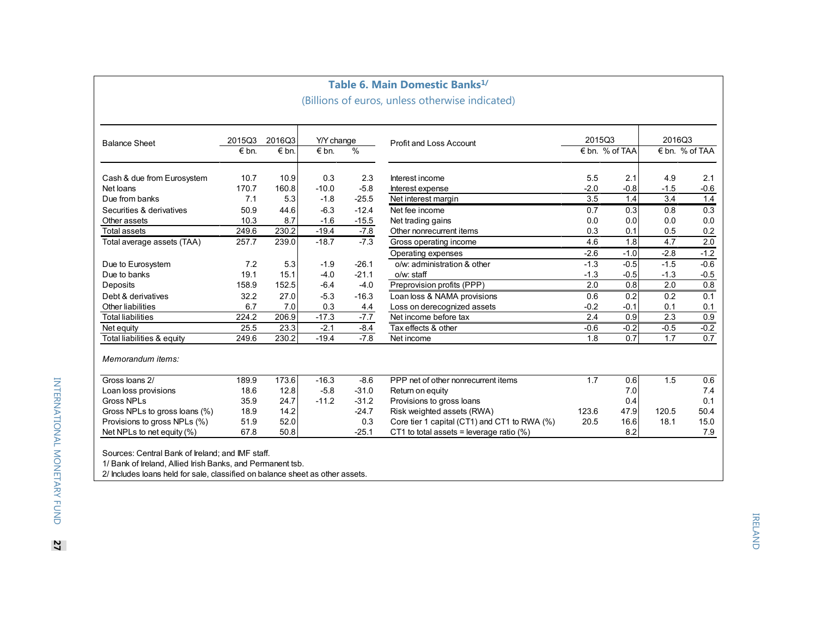| <b>Balance Sheet</b>          | 2015Q3<br>$\n  6$ bn. | 2016Q3<br>€ bn.    | Y/Y change<br>$\n  6$ bn. | $\frac{0}{0}$ | Profit and Loss Account                      | 201503<br>€ bn. % of TAA |        | 2016Q3<br>€ bn. % of TAA |        |
|-------------------------------|-----------------------|--------------------|---------------------------|---------------|----------------------------------------------|--------------------------|--------|--------------------------|--------|
|                               |                       |                    |                           |               |                                              |                          |        |                          |        |
| Cash & due from Eurosystem    | 10.7                  | 10.9               | 0.3                       | 2.3           | Interest income                              | 5.5                      | 2.1    | 4.9                      | 2.1    |
| Net loans                     | 170.7                 | 160.8              | $-10.0$                   | $-5.8$        | Interest expense                             | $-2.0$                   | $-0.8$ | $-1.5$                   | $-0.6$ |
| Due from banks                | 7.1                   | 5.3                | $-1.8$                    | $-25.5$       | Net interest margin                          | 3.5                      | 1.4    | 3.4                      | 1.4    |
| Securities & derivatives      | 50.9                  | 44.6               | $-6.3$                    | $-12.4$       | Net fee income                               | 0.7                      | 0.3    | 0.8                      | 0.3    |
| Other assets                  | 10.3                  | 8.7                | $-1.6$                    | $-15.5$       | Net trading gains                            | 0.0                      | 0.0    | 0.0                      | 0.0    |
| <b>Total assets</b>           | 249.6                 | 230.2              | $-19.4$                   | $-7.8$        | Other nonrecurrent items                     | 0.3                      | 0.1    | 0.5                      | 0.2    |
| Total average assets (TAA)    | 257.7                 | 239.0              | $-18.7$                   | $-7.3$        | Gross operating income                       | 4.6                      | 1.8    | 4.7                      | 2.0    |
|                               |                       |                    |                           |               | Operating expenses                           | $-2.6$                   | $-1.0$ | $-2.8$                   | $-1.2$ |
| Due to Eurosystem             | 7.2                   | 5.3                | $-1.9$                    | $-26.1$       | o/w: administration & other                  | $-1.3$                   | $-0.5$ | $-1.5$                   | $-0.6$ |
| Due to banks                  | 19.1                  | 15.1               | $-4.0$                    | $-21.1$       | o/w: staff                                   | $-1.3$                   | $-0.5$ | $-1.3$                   | $-0.5$ |
| Deposits                      | 158.9                 | 152.5              | $-6.4$                    | $-4.0$        | Preprovision profits (PPP)                   | 2.0                      | 0.8    | 2.0                      | 0.8    |
| Debt & derivatives            | 32.2                  | 27.0               | $-5.3$                    | $-16.3$       | Loan loss & NAMA provisions                  | 0.6                      | 0.2    | 0.2                      | 0.1    |
| Other liabilities             | 6.7                   | 7.0                | 0.3                       | 4.4           | Loss on derecognized assets                  | $-0.2$                   | $-0.1$ | 0.1                      | 0.1    |
| <b>Total liabilities</b>      | 224.2                 | 206.9              | $-17.3$                   | $-7.7$        | Net income before tax                        | 2.4                      | 0.9    | 2.3                      | 0.9    |
| Net equity                    | 25.5                  | 23.3               | $-2.1$                    | $-8.4$        | Tax effects & other                          | $-0.6$                   | $-0.2$ | $-0.5$                   | $-0.2$ |
| Total liabilities & equity    | 249.6                 | $230.\overline{2}$ | $-19.4$                   | $-7.8$        | Net income                                   | 1.8                      | 0.7    | 1.7                      | 0.7    |
| Memorandum items:             |                       |                    |                           |               |                                              |                          |        |                          |        |
| Gross loans 2/                | 189.9                 | 173.6              | $-16.3$                   | $-8.6$        | PPP net of other nonrecurrent items          | 1.7                      | 0.6    | 1.5                      | 0.6    |
| Loan loss provisions          | 18.6                  | 12.8               | $-5.8$                    | $-31.0$       | Return on equity                             |                          | 7.0    |                          | 7.4    |
| <b>Gross NPLs</b>             | 35.9                  | 24.7               | $-11.2$                   | $-31.2$       | Provisions to gross loans                    |                          | 0.4    |                          | 0.1    |
| Gross NPLs to gross loans (%) | 18.9                  | 14.2               |                           | $-24.7$       | Risk weighted assets (RWA)                   | 123.6                    | 47.9   | 120.5                    | 50.4   |
| Provisions to gross NPLs (%)  | 51.9                  | 52.0               |                           | 0.3           | Core tier 1 capital (CT1) and CT1 to RWA (%) | 20.5                     | 16.6   | 18.1                     | 15.0   |
| Net NPLs to net equity (%)    | 67.8                  | 50.8               |                           | $-25.1$       | CT1 to total assets = leverage ratio $(\%)$  |                          | 8.2    |                          | 7.9    |

**27**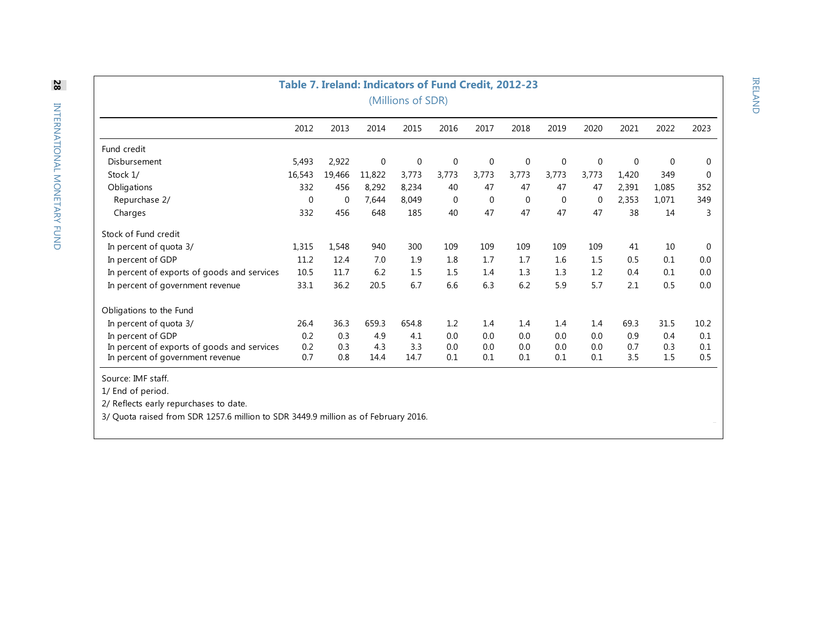| Table 7. Ireland: Indicators of Fund Credit, 2012-23                               |             |             |             |             |             |             |       |             |             |       |       |             |
|------------------------------------------------------------------------------------|-------------|-------------|-------------|-------------|-------------|-------------|-------|-------------|-------------|-------|-------|-------------|
| (Millions of SDR)                                                                  |             |             |             |             |             |             |       |             |             |       |       |             |
|                                                                                    | 2012        | 2013        | 2014        | 2015        | 2016        | 2017        | 2018  | 2019        | 2020        | 2021  | 2022  | 2023        |
| Fund credit                                                                        |             |             |             |             |             |             |       |             |             |       |       |             |
| Disbursement                                                                       | 5,493       | 2,922       | $\mathbf 0$ | $\mathbf 0$ | 0           | $\mathbf 0$ | 0     | 0           | $\mathbf 0$ | 0     | 0     | 0           |
| Stock 1/                                                                           | 16,543      | 19,466      | 11,822      | 3,773       | 3,773       | 3,773       | 3,773 | 3,773       | 3,773       | 1,420 | 349   | $\mathbf 0$ |
| Obligations                                                                        | 332         | 456         | 8,292       | 8,234       | 40          | 47          | 47    | 47          | 47          | 2,391 | 1,085 | 352         |
| Repurchase 2/                                                                      | $\mathbf 0$ | $\mathbf 0$ | 7,644       | 8,049       | $\mathbf 0$ | $\mathbf 0$ | 0     | $\mathbf 0$ | $\mathbf 0$ | 2,353 | 1,071 | 349         |
| Charges                                                                            | 332         | 456         | 648         | 185         | 40          | 47          | 47    | 47          | 47          | 38    | 14    | 3           |
| Stock of Fund credit                                                               |             |             |             |             |             |             |       |             |             |       |       |             |
| In percent of quota 3/                                                             | 1,315       | 1,548       | 940         | 300         | 109         | 109         | 109   | 109         | 109         | 41    | 10    | $\mathbf 0$ |
| In percent of GDP                                                                  | 11.2        | 12.4        | 7.0         | 1.9         | 1.8         | 1.7         | 1.7   | 1.6         | 1.5         | 0.5   | 0.1   | 0.0         |
| In percent of exports of goods and services                                        | 10.5        | 11.7        | 6.2         | 1.5         | 1.5         | 1.4         | 1.3   | 1.3         | 1.2         | 0.4   | 0.1   | 0.0         |
| In percent of government revenue                                                   | 33.1        | 36.2        | 20.5        | 6.7         | 6.6         | 6.3         | 6.2   | 5.9         | 5.7         | 2.1   | 0.5   | 0.0         |
| Obligations to the Fund                                                            |             |             |             |             |             |             |       |             |             |       |       |             |
| In percent of quota 3/                                                             | 26.4        | 36.3        | 659.3       | 654.8       | 1.2         | 1.4         | 1.4   | 1.4         | 1.4         | 69.3  | 31.5  | 10.2        |
| In percent of GDP                                                                  | 0.2         | 0.3         | 4.9         | 4.1         | 0.0         | 0.0         | 0.0   | 0.0         | 0.0         | 0.9   | 0.4   | 0.1         |
| In percent of exports of goods and services                                        | 0.2         | 0.3         | 4.3         | 3.3         | 0.0         | 0.0         | 0.0   | 0.0         | 0.0         | 0.7   | 0.3   | 0.1         |
| In percent of government revenue                                                   | 0.7         | 0.8         | 14.4        | 14.7        | 0.1         | 0.1         | 0.1   | 0.1         | 0.1         | 3.5   | 1.5   | 0.5         |
| Source: IMF staff.                                                                 |             |             |             |             |             |             |       |             |             |       |       |             |
| 1/ End of period.                                                                  |             |             |             |             |             |             |       |             |             |       |       |             |
| 2/ Reflects early repurchases to date.                                             |             |             |             |             |             |             |       |             |             |       |       |             |
| 3/ Quota raised from SDR 1257.6 million to SDR 3449.9 million as of February 2016. |             |             |             |             |             |             |       |             |             |       |       |             |

IRELAND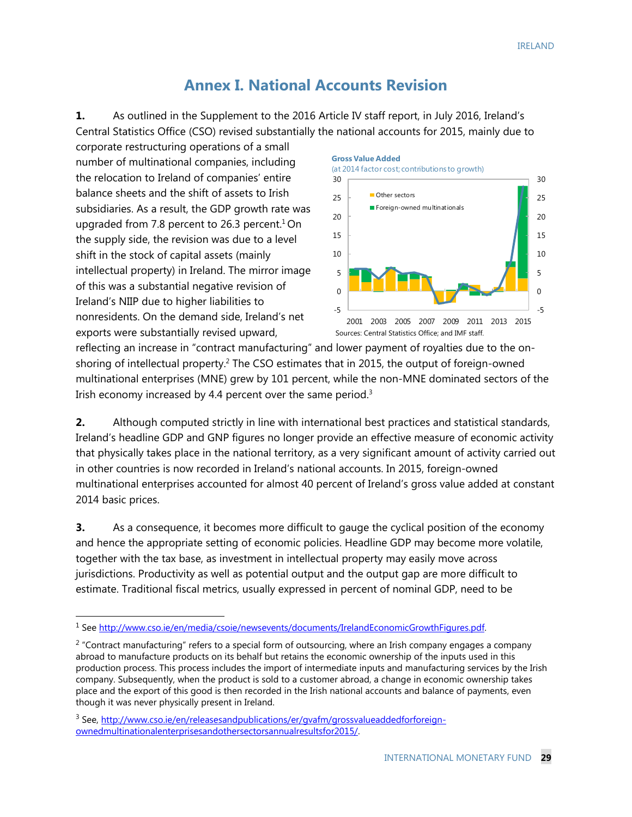### **Annex I. National Accounts Revision**

**1.** As outlined in the Supplement to the 2016 Article IV staff report, in July 2016, Ireland's Central Statistics Office (CSO) revised substantially the national accounts for 2015, mainly due to

corporate restructuring operations of a small number of multinational companies, including the relocation to Ireland of companies' entire balance sheets and the shift of assets to Irish subsidiaries. As a result, the GDP growth rate was upgraded from 7.8 percent to 26.3 percent.<sup>1</sup> On the supply side, the revision was due to a level shift in the stock of capital assets (mainly intellectual property) in Ireland. The mirror image of this was a substantial negative revision of Ireland's NIIP due to higher liabilities to nonresidents. On the demand side, Ireland's net exports were substantially revised upward,

-



Sources: Central Statistics Office; and IMF staff.

reflecting an increase in "contract manufacturing" and lower payment of royalties due to the onshoring of intellectual property.<sup>2</sup> The CSO estimates that in 2015, the output of foreign-owned multinational enterprises (MNE) grew by 101 percent, while the non-MNE dominated sectors of the Irish economy increased by 4.4 percent over the same period.<sup>3</sup>

**2.** Although computed strictly in line with international best practices and statistical standards, Ireland's headline GDP and GNP figures no longer provide an effective measure of economic activity that physically takes place in the national territory, as a very significant amount of activity carried out in other countries is now recorded in Ireland's national accounts. In 2015, foreign-owned multinational enterprises accounted for almost 40 percent of Ireland's gross value added at constant 2014 basic prices.

**3.** As a consequence, it becomes more difficult to gauge the cyclical position of the economy and hence the appropriate setting of economic policies. Headline GDP may become more volatile, together with the tax base, as investment in intellectual property may easily move across jurisdictions. Productivity as well as potential output and the output gap are more difficult to estimate. Traditional fiscal metrics, usually expressed in percent of nominal GDP, need to be

<sup>1</sup> See http://www.cso.ie/en/media/csoie/newsevents/documents/IrelandEconomicGrowthFigures.pdf.

<sup>&</sup>lt;sup>2</sup> "Contract manufacturing" refers to a special form of outsourcing, where an Irish company engages a company abroad to manufacture products on its behalf but retains the economic ownership of the inputs used in this production process. This process includes the import of intermediate inputs and manufacturing services by the Irish company. Subsequently, when the product is sold to a customer abroad, a change in economic ownership takes place and the export of this good is then recorded in the Irish national accounts and balance of payments, even though it was never physically present in Ireland.

<sup>&</sup>lt;sup>3</sup> See, http://www.cso.ie/en/releasesandpublications/er/gvafm/grossvalueaddedforforeignownedmultinationalenterprisesandothersectorsannualresultsfor2015/.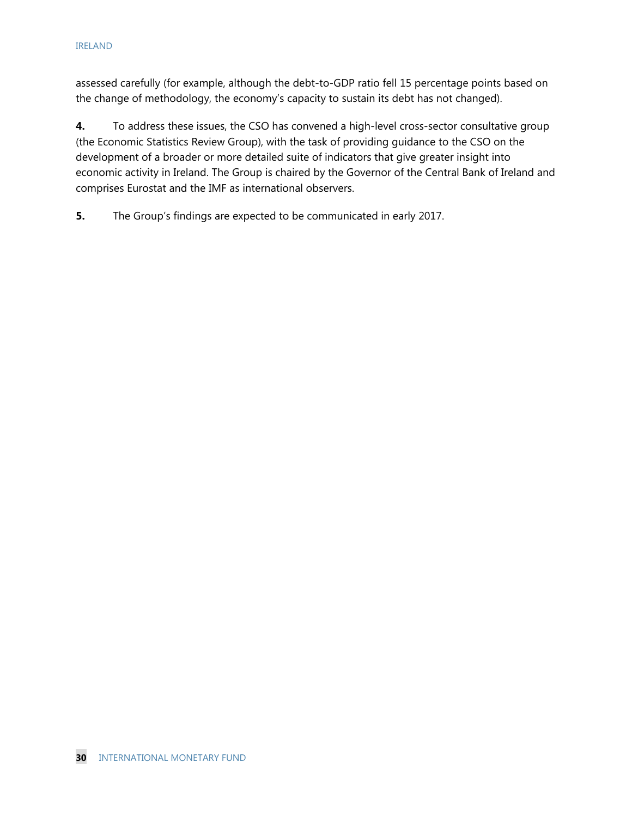assessed carefully (for example, although the debt-to-GDP ratio fell 15 percentage points based on the change of methodology, the economy's capacity to sustain its debt has not changed).

**4.** To address these issues, the CSO has convened a high-level cross-sector consultative group (the Economic Statistics Review Group), with the task of providing guidance to the CSO on the development of a broader or more detailed suite of indicators that give greater insight into economic activity in Ireland. The Group is chaired by the Governor of the Central Bank of Ireland and comprises Eurostat and the IMF as international observers.

**5.** The Group's findings are expected to be communicated in early 2017.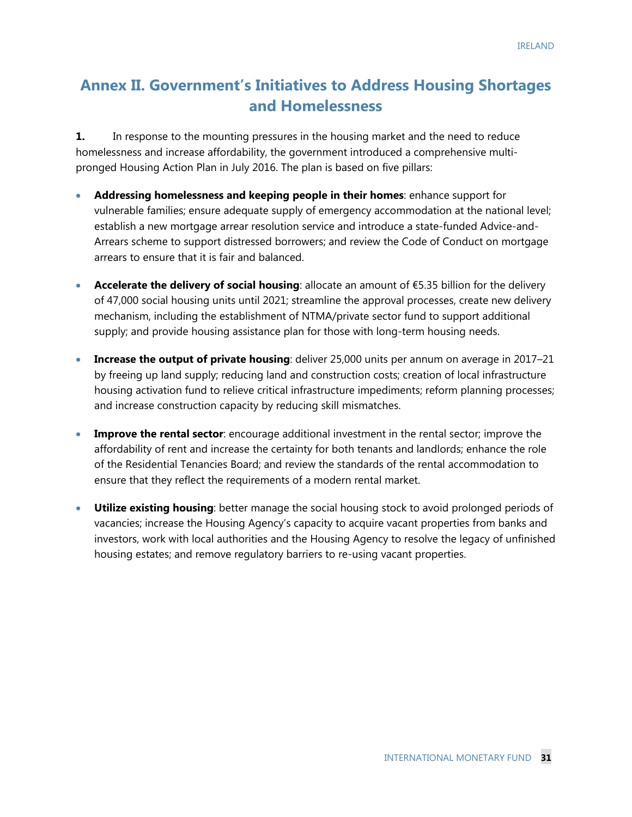# **Annex II. Government's Initiatives to Address Housing Shortages and Homelessness**

**1.** In response to the mounting pressures in the housing market and the need to reduce homelessness and increase affordability, the government introduced a comprehensive multipronged Housing Action Plan in July 2016. The plan is based on five pillars:

- **Addressing homelessness and keeping people in their homes**: enhance support for vulnerable families; ensure adequate supply of emergency accommodation at the national level; establish a new mortgage arrear resolution service and introduce a state-funded Advice-and-Arrears scheme to support distressed borrowers; and review the Code of Conduct on mortgage arrears to ensure that it is fair and balanced.
- **Accelerate the delivery of social housing**: allocate an amount of €5.35 billion for the delivery of 47,000 social housing units until 2021; streamline the approval processes, create new delivery mechanism, including the establishment of NTMA/private sector fund to support additional supply; and provide housing assistance plan for those with long-term housing needs.
- **Increase the output of private housing**: deliver 25,000 units per annum on average in 2017–21 by freeing up land supply; reducing land and construction costs; creation of local infrastructure housing activation fund to relieve critical infrastructure impediments; reform planning processes; and increase construction capacity by reducing skill mismatches.
- **Improve the rental sector**: encourage additional investment in the rental sector; improve the affordability of rent and increase the certainty for both tenants and landlords; enhance the role of the Residential Tenancies Board; and review the standards of the rental accommodation to ensure that they reflect the requirements of a modern rental market.
- **Utilize existing housing**: better manage the social housing stock to avoid prolonged periods of vacancies; increase the Housing Agency's capacity to acquire vacant properties from banks and investors, work with local authorities and the Housing Agency to resolve the legacy of unfinished housing estates; and remove regulatory barriers to re-using vacant properties.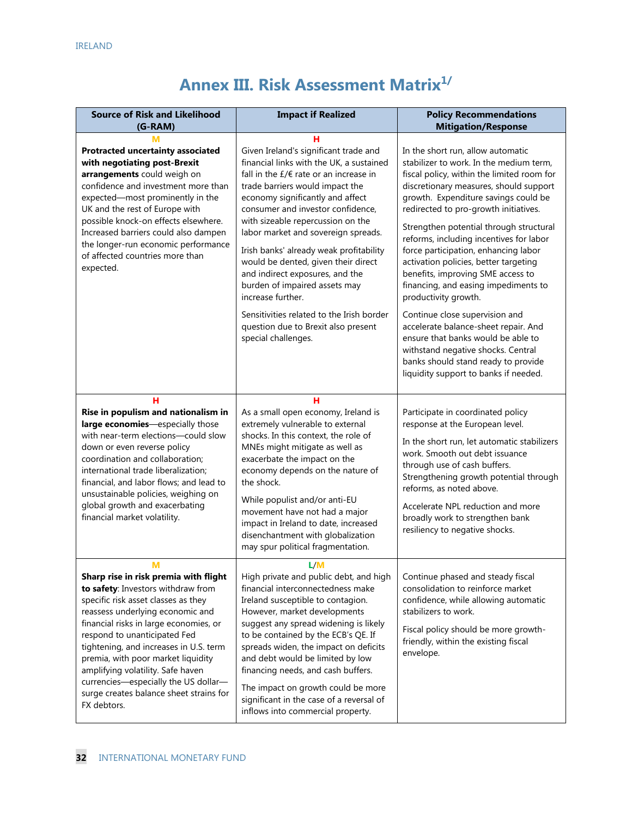# **Annex III. Risk Assessment Matrix<sup>1/</sup>**

| <b>Source of Risk and Likelihood</b><br>$(G-RAM)$                                                                                                                                                                                                                                                                                                                                                                                                            | <b>Impact if Realized</b>                                                                                                                                                                                                                                                                                                                                                                                                                                                                                                                                                                                        | <b>Policy Recommendations</b><br><b>Mitigation/Response</b>                                                                                                                                                                                                                                                                                                                                                                                                                                                                                                                                                                                                                                                                                                             |
|--------------------------------------------------------------------------------------------------------------------------------------------------------------------------------------------------------------------------------------------------------------------------------------------------------------------------------------------------------------------------------------------------------------------------------------------------------------|------------------------------------------------------------------------------------------------------------------------------------------------------------------------------------------------------------------------------------------------------------------------------------------------------------------------------------------------------------------------------------------------------------------------------------------------------------------------------------------------------------------------------------------------------------------------------------------------------------------|-------------------------------------------------------------------------------------------------------------------------------------------------------------------------------------------------------------------------------------------------------------------------------------------------------------------------------------------------------------------------------------------------------------------------------------------------------------------------------------------------------------------------------------------------------------------------------------------------------------------------------------------------------------------------------------------------------------------------------------------------------------------------|
| <b>Protracted uncertainty associated</b><br>with negotiating post-Brexit<br>arrangements could weigh on<br>confidence and investment more than<br>expected-most prominently in the<br>UK and the rest of Europe with<br>possible knock-on effects elsewhere.<br>Increased barriers could also dampen<br>the longer-run economic performance<br>of affected countries more than<br>expected.                                                                  | н<br>Given Ireland's significant trade and<br>financial links with the UK, a sustained<br>fall in the $E/E$ rate or an increase in<br>trade barriers would impact the<br>economy significantly and affect<br>consumer and investor confidence,<br>with sizeable repercussion on the<br>labor market and sovereign spreads.<br>Irish banks' already weak profitability<br>would be dented, given their direct<br>and indirect exposures, and the<br>burden of impaired assets may<br>increase further.<br>Sensitivities related to the Irish border<br>question due to Brexit also present<br>special challenges. | In the short run, allow automatic<br>stabilizer to work. In the medium term,<br>fiscal policy, within the limited room for<br>discretionary measures, should support<br>growth. Expenditure savings could be<br>redirected to pro-growth initiatives.<br>Strengthen potential through structural<br>reforms, including incentives for labor<br>force participation, enhancing labor<br>activation policies, better targeting<br>benefits, improving SME access to<br>financing, and easing impediments to<br>productivity growth.<br>Continue close supervision and<br>accelerate balance-sheet repair. And<br>ensure that banks would be able to<br>withstand negative shocks. Central<br>banks should stand ready to provide<br>liquidity support to banks if needed. |
| н<br>Rise in populism and nationalism in<br>large economies-especially those<br>with near-term elections-could slow<br>down or even reverse policy<br>coordination and collaboration;<br>international trade liberalization;<br>financial, and labor flows; and lead to<br>unsustainable policies, weighing on<br>global growth and exacerbating<br>financial market volatility.                                                                             | н<br>As a small open economy, Ireland is<br>extremely vulnerable to external<br>shocks. In this context, the role of<br>MNEs might mitigate as well as<br>exacerbate the impact on the<br>economy depends on the nature of<br>the shock.<br>While populist and/or anti-EU<br>movement have not had a major<br>impact in Ireland to date, increased<br>disenchantment with globalization<br>may spur political fragmentation.                                                                                                                                                                                     | Participate in coordinated policy<br>response at the European level.<br>In the short run, let automatic stabilizers<br>work. Smooth out debt issuance<br>through use of cash buffers.<br>Strengthening growth potential through<br>reforms, as noted above.<br>Accelerate NPL reduction and more<br>broadly work to strengthen bank<br>resiliency to negative shocks.                                                                                                                                                                                                                                                                                                                                                                                                   |
| Μ<br>Sharp rise in risk premia with flight<br>to safety: Investors withdraw from<br>specific risk asset classes as they<br>reassess underlying economic and<br>financial risks in large economies, or<br>respond to unanticipated Fed<br>tightening, and increases in U.S. term<br>premia, with poor market liquidity<br>amplifying volatility. Safe haven<br>currencies-especially the US dollar-<br>surge creates balance sheet strains for<br>FX debtors. | L/M<br>High private and public debt, and high<br>financial interconnectedness make<br>Ireland susceptible to contagion.<br>However, market developments<br>suggest any spread widening is likely<br>to be contained by the ECB's QE. If<br>spreads widen, the impact on deficits<br>and debt would be limited by low<br>financing needs, and cash buffers.<br>The impact on growth could be more<br>significant in the case of a reversal of<br>inflows into commercial property.                                                                                                                                | Continue phased and steady fiscal<br>consolidation to reinforce market<br>confidence, while allowing automatic<br>stabilizers to work.<br>Fiscal policy should be more growth-<br>friendly, within the existing fiscal<br>envelope.                                                                                                                                                                                                                                                                                                                                                                                                                                                                                                                                     |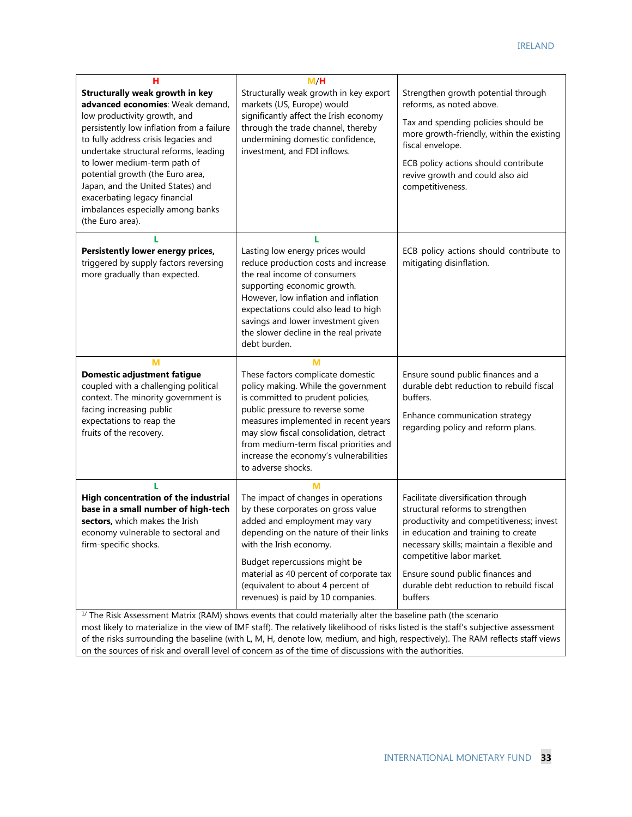| н<br><b>Structurally weak growth in key</b><br>advanced economies: Weak demand,<br>low productivity growth, and<br>persistently low inflation from a failure<br>to fully address crisis legacies and<br>undertake structural reforms, leading<br>to lower medium-term path of<br>potential growth (the Euro area,<br>Japan, and the United States) and<br>exacerbating legacy financial<br>imbalances especially among banks<br>(the Euro area). | M/H<br>Structurally weak growth in key export<br>markets (US, Europe) would<br>significantly affect the Irish economy<br>through the trade channel, thereby<br>undermining domestic confidence,<br>investment, and FDI inflows.                                                                                                                                                                                                                                        | Strengthen growth potential through<br>reforms, as noted above.<br>Tax and spending policies should be<br>more growth-friendly, within the existing<br>fiscal envelope.<br>ECB policy actions should contribute<br>revive growth and could also aid<br>competitiveness.                                                        |
|--------------------------------------------------------------------------------------------------------------------------------------------------------------------------------------------------------------------------------------------------------------------------------------------------------------------------------------------------------------------------------------------------------------------------------------------------|------------------------------------------------------------------------------------------------------------------------------------------------------------------------------------------------------------------------------------------------------------------------------------------------------------------------------------------------------------------------------------------------------------------------------------------------------------------------|--------------------------------------------------------------------------------------------------------------------------------------------------------------------------------------------------------------------------------------------------------------------------------------------------------------------------------|
| г<br>Persistently lower energy prices,<br>triggered by supply factors reversing<br>more gradually than expected.                                                                                                                                                                                                                                                                                                                                 | Lasting low energy prices would<br>reduce production costs and increase<br>the real income of consumers<br>supporting economic growth.<br>However, low inflation and inflation<br>expectations could also lead to high<br>savings and lower investment given<br>the slower decline in the real private<br>debt burden.                                                                                                                                                 | ECB policy actions should contribute to<br>mitigating disinflation.                                                                                                                                                                                                                                                            |
| M<br><b>Domestic adjustment fatigue</b><br>coupled with a challenging political<br>context. The minority government is<br>facing increasing public<br>expectations to reap the<br>fruits of the recovery.                                                                                                                                                                                                                                        | M<br>These factors complicate domestic<br>policy making. While the government<br>is committed to prudent policies,<br>public pressure to reverse some<br>measures implemented in recent years<br>may slow fiscal consolidation, detract<br>from medium-term fiscal priorities and<br>increase the economy's vulnerabilities<br>to adverse shocks.                                                                                                                      | Ensure sound public finances and a<br>durable debt reduction to rebuild fiscal<br>buffers.<br>Enhance communication strategy<br>regarding policy and reform plans.                                                                                                                                                             |
| п<br>High concentration of the industrial<br>base in a small number of high-tech<br>sectors, which makes the Irish<br>economy vulnerable to sectoral and<br>firm-specific shocks.                                                                                                                                                                                                                                                                | м<br>The impact of changes in operations<br>by these corporates on gross value<br>added and employment may vary<br>depending on the nature of their links<br>with the Irish economy.<br>Budget repercussions might be<br>material as 40 percent of corporate tax<br>(equivalent to about 4 percent of<br>revenues) is paid by 10 companies.<br>$\frac{1}{1}$ The Risk Assessment Matrix (RAM) shows events that could materially alter the baseline path (the scenario | Facilitate diversification through<br>structural reforms to strengthen<br>productivity and competitiveness; invest<br>in education and training to create<br>necessary skills; maintain a flexible and<br>competitive labor market.<br>Ensure sound public finances and<br>durable debt reduction to rebuild fiscal<br>buffers |

of the risks surrounding the baseline (with L, M, H, denote low, medium, and high, respectively). The RAM reflects staff views on the sources of risk and overall level of concern as of the time of discussions with the authorities.